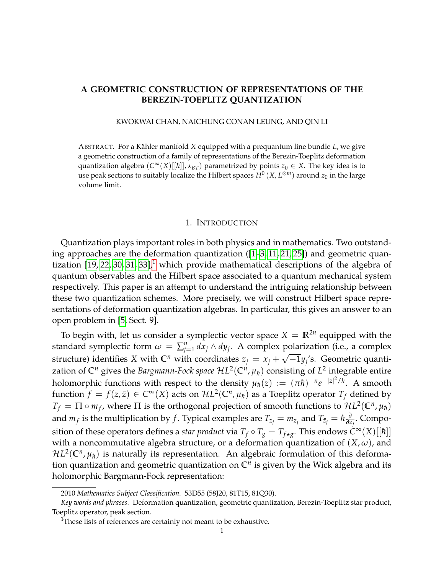## **A GEOMETRIC CONSTRUCTION OF REPRESENTATIONS OF THE BEREZIN-TOEPLITZ QUANTIZATION**

### KWOKWAI CHAN, NAICHUNG CONAN LEUNG, AND QIN LI

ABSTRACT. For a Kähler manifold X equipped with a prequantum line bundle *L*, we give a geometric construction of a family of representations of the Berezin-Toeplitz deformation quantization algebra  $(C^{\infty}(X)[[\hbar]], \star_{BT})$  parametrized by points  $z_0 \in X$ . The key idea is to use peak sections to suitably localize the Hilbert spaces  $H^0\left(X,L^{\otimes m}\right)$  around  $z_0$  in the large volume limit.

#### 1. INTRODUCTION

Quantization plays important roles in both physics and in mathematics. Two outstanding approaches are the deformation quantization ([\[1–](#page-25-0)[3,](#page-25-1) [11,](#page-26-0) [21,](#page-26-1) [25\]](#page-26-2)) and geometric quantization  $[19, 22, 30, 31, 33]$  $[19, 22, 30, 31, 33]$  $[19, 22, 30, 31, 33]$  $[19, 22, 30, 31, 33]$  $[19, 22, 30, 31, 33]$ ,<sup>[1](#page-0-0)</sup> which provide mathematical descriptions of the algebra of quantum observables and the Hilbert space associated to a quantum mechanical system respectively. This paper is an attempt to understand the intriguing relationship between these two quantization schemes. More precisely, we will construct Hilbert space representations of deformation quantization algebras. In particular, this gives an answer to an open problem in [\[5,](#page-25-2) Sect. 9].

To begin with, let us consider a symplectic vector space  $X = \mathbb{R}^{2n}$  equipped with the standard symplectic form  $\omega = \sum_{j=1}^{n} dx_j \wedge dy_j$ . A complex polarization (i.e., a complex structure) identifies *X* with  $\mathbb{C}^n$  with coordinates  $z_j = x_j + \sqrt{-1}y_j$ 's. Geometric quantization of  $\mathbb{C}^n$  gives the *Bargmann-Fock space*  $\mathcal{H}L^2(\mathbb{C}^n,\mu_\hbar)$  *consisting of*  $L^2$  *integrable entire* holomorphic functions with respect to the density  $\mu_{\hbar}(z) := (\pi \hbar)^{-n} e^{-|z|^2/\hbar}.$  A smooth function  $f = f(z, \bar{z}) \in C^{\infty}(X)$  acts on  $\mathcal{H}L^2(\mathbb{C}^n, \mu_{\hbar})$  as a Toeplitz operator  $T_f$  defined by  $T_f = \Pi \circ m_f$ , where  $\Pi$  is the orthogonal projection of smooth functions to  $HL^2(\mathbb{C}^n, \mu_\hbar)$ and  $m_f$  is the multiplication by  $f$ . Typical examples are  $T_{z_j} = m_{z_j}$  and  $T_{\bar{z}_j} = \hbar \frac{\partial}{\partial z_j}$ *∂z<sup>j</sup>* . Composition of these operators defines a *star product* via  $T_f \circ T_g = T_{f \star g}$ . This endows  $\hat{C}^\infty(X)[[\hbar]]$ with a noncommutative algebra structure, or a deformation quantization of  $(X, \omega)$ , and  $\mathcal{H}L^2(\mathbb{C}^n,\mu_\hbar)$  is naturally its representation. An algebraic formulation of this deformation quantization and geometric quantization on **C***<sup>n</sup>* is given by the Wick algebra and its holomorphic Bargmann-Fock representation:

<sup>2010</sup> *Mathematics Subject Classification.* 53D55 (58J20, 81T15, 81Q30).

*Key words and phrases.* Deformation quantization, geometric quantization, Berezin-Toeplitz star product, Toeplitz operator, peak section.

<span id="page-0-0"></span><sup>&</sup>lt;sup>1</sup>These lists of references are certainly not meant to be exhaustive.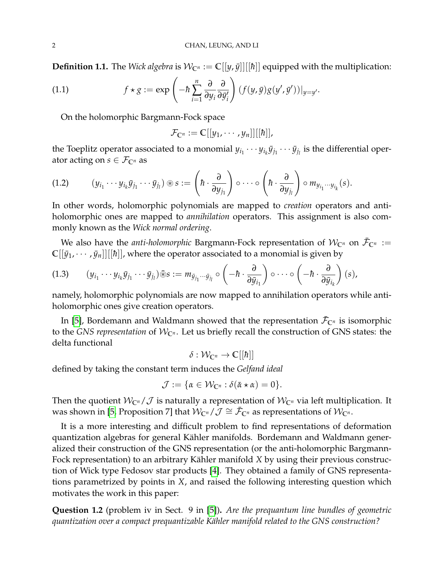**Definition 1.1.** The *Wick algebra* is  $W_{\mathbb{C}^n} := \mathbb{C}[[y, \bar{y}]][[\hbar]]$  equipped with the multiplication:

(1.1) 
$$
f \star g := \exp \left( -\hbar \sum_{i=1}^{n} \frac{\partial}{\partial y_{i}} \frac{\partial}{\partial \bar{y}_{i}'} \right) (f(y, \bar{y})g(y', \bar{y}'))|_{y=y'}.
$$

On the holomorphic Bargmann-Fock space

<span id="page-1-2"></span>
$$
\mathcal{F}_{\mathbb{C}^n}:=\mathbb{C}[[y_1,\cdots,y_n]][[\hbar]],
$$

the Toeplitz operator associated to a monomial  $y_{i_1}\cdots y_{i_k}\bar{y}_{j_1}\cdots \bar{y}_{j_l}$  is the differential operator acting on  $s \in \mathcal{F}_{\mathbb{C}^n}$  as

<span id="page-1-0"></span>
$$
(1.2) \qquad (y_{i_1}\cdots y_{i_k}\bar{y}_{j_1}\cdots \bar{y}_{j_l})\circledast s := \left(\hbar\cdot \frac{\partial}{\partial y_{j_1}}\right)\circ\cdots\circ\left(\hbar\cdot \frac{\partial}{\partial y_{j_l}}\right)\circ m_{y_{i_1}\cdots y_{i_k}}(s).
$$

In other words, holomorphic polynomials are mapped to *creation* operators and antiholomorphic ones are mapped to *annihilation* operators. This assignment is also commonly known as the *Wick normal ordering*.

We also have the *anti-holomorphic* Bargmann-Fock representation of  $\mathcal{W}_{\mathbb{C}^n}$  on  $\bar{\mathcal{F}}_{\mathbb{C}^n}$  :=  $\mathbb{C}[[\bar{y}_1, \cdots, \bar{y}_n]][[\hbar]]$ , where the operator associated to a monomial is given by

<span id="page-1-1"></span>
$$
(1.3) \qquad (y_{i_1}\cdots y_{i_k}\bar{y}_{j_1}\cdots \bar{y}_{j_l})\bar{\otimes} s := m_{\bar{y}_{j_1}\cdots \bar{y}_{j_l}}\circ\left(-\hbar\cdot \frac{\partial}{\partial \bar{y}_{i_1}}\right)\circ\cdots\circ\left(-\hbar\cdot \frac{\partial}{\partial \bar{y}_{i_k}}\right)(s),
$$

namely, holomorphic polynomials are now mapped to annihilation operators while antiholomorphic ones give creation operators.

In [\[5\]](#page-25-2), Bordemann and Waldmann showed that the representation  $\bar{\mathcal{F}}_{\mathbb{C}^n}$  is isomorphic to the *GNS representation* of  $W_{\mathbb{C}^n}$ . Let us briefly recall the construction of *GNS* states: the delta functional

$$
\delta: \mathcal{W}_{\mathbb{C}^n} \to \mathbb{C}[[\hbar]]
$$

defined by taking the constant term induces the *Gelfand ideal*

$$
\mathcal{J} := \{ \alpha \in \mathcal{W}_{\mathbb{C}^n} : \delta(\bar{\alpha} \star \alpha) = 0 \}.
$$

Then the quotient  $W_{\mathbb{C}^n}/\mathcal{J}$  is naturally a representation of  $W_{\mathbb{C}^n}$  via left multiplication. It was shown in [\[5,](#page-25-2) Proposition 7] that  $\mathcal{W}_{\mathbb{C}^n}/\mathcal{J} \cong \bar{\mathcal{F}}_{\mathbb{C}^n}$  as representations of  $\mathcal{W}_{\mathbb{C}^n}$ .

It is a more interesting and difficult problem to find representations of deformation quantization algebras for general Kähler manifolds. Bordemann and Waldmann generalized their construction of the GNS representation (or the anti-holomorphic Bargmann-Fock representation) to an arbitrary Kähler manifold X by using their previous construction of Wick type Fedosov star products [\[4\]](#page-25-3). They obtained a family of GNS representations parametrized by points in *X*, and raised the following interesting question which motivates the work in this paper:

**Question 1.2** (problem iv in Sect. 9 in [\[5\]](#page-25-2))**.** *Are the prequantum line bundles of geometric quantization over a compact prequantizable Kähler manifold related to the GNS construction?*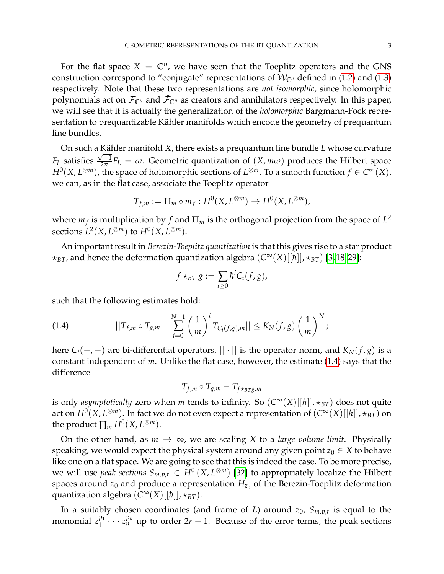For the flat space  $X = \mathbb{C}^n$ , we have seen that the Toeplitz operators and the GNS construction correspond to "conjugate" representations of  $W_{\mathbb{C}^n}$  defined in [\(1.2\)](#page-1-0) and [\(1.3\)](#page-1-1) respectively. Note that these two representations are *not isomorphic*, since holomorphic polynomials act on  $\mathcal{F}_{\mathbb{C}^n}$  and  $\bar{\mathcal{F}}_{\mathbb{C}^n}$  as creators and annihilators respectively. In this paper, we will see that it is actually the generalization of the *holomorphic* Bargmann-Fock representation to prequantizable Kähler manifolds which encode the geometry of prequantum line bundles.

On such a Kähler manifold X, there exists a prequantum line bundle  $L$  whose curvature  $F_L$  satisfies  $\frac{\sqrt{-1}}{2\pi}$  $\frac{\partial^2 I}{\partial x^2} F_L = \omega$ . Geometric quantization of  $(X, m\omega)$  produces the Hilbert space  $H^0(X, L^{\otimes m})$ , the space of holomorphic sections of  $L^{\otimes m}$ . To a smooth function  $f \in C^\infty(X)$ , we can, as in the flat case, associate the Toeplitz operator

$$
T_{f,m} := \Pi_m \circ m_f : H^0(X, L^{\otimes m}) \to H^0(X, L^{\otimes m}),
$$

where  $m_f$  is multiplication by  $f$  and  $\Pi_m$  is the orthogonal projection from the space of  $L^2$ sections  $L^2(X, L^{\otimes m})$  to  $H^0(X, L^{\otimes m})$ .

An important result in *Berezin-Toeplitz quantization* is that this gives rise to a star product  $\star_{BT}$ , and hence the deformation quantization algebra  $(C^{\infty}(X)[[\hbar]], \star_{BT})$  [\[3,](#page-25-1)18,29]:

$$
f\star_{BT}g:=\sum_{i\geq 0}\hbar^iC_i(f,g),
$$

such that the following estimates hold:

<span id="page-2-0"></span>(1.4) 
$$
||T_{f,m} \circ T_{g,m} - \sum_{i=0}^{N-1} \left(\frac{1}{m}\right)^i T_{C_i(f,g),m}|| \leq K_N(f,g) \left(\frac{1}{m}\right)^N;
$$

here  $C_i(-, -)$  are bi-differential operators,  $|| \cdot ||$  is the operator norm, and  $K_N(f, g)$  is a constant independent of *m*. Unlike the flat case, however, the estimate [\(1.4\)](#page-2-0) says that the difference

$$
T_{f,m}\circ T_{g,m}-T_{f\star_{BT}g,m}
$$

is only *asymptotically* zero when *m* tends to infinity. So  $(C^{\infty}(X)[[\hbar]], \star_{BT})$  does not quite act on  $H^0(X,L^{\otimes m})$ . In fact we do not even expect a representation of  $(C^\infty(X)[[\hbar]],\star_{BT})$  on the product  $\prod_m H^0(X, L^{\otimes m})$ .

On the other hand, as  $m \to \infty$ , we are scaling *X* to a *large volume limit*. Physically speaking, we would expect the physical system around any given point  $z_0 \in X$  to behave like one on a flat space. We are going to see that this is indeed the case. To be more precise, we will use *peak sections*  $S_{m,p,r} \in H^0(X, L^{\otimes m})$  [\[32\]](#page-26-10) to appropriately localize the Hilbert spaces around  $z_0$  and produce a representation  $H_{z_0}$  of the Berezin-Toeplitz deformation quantization algebra (*C* <sup>∞</sup>(*X*)[[*h*¯]], ?*BT*).

In a suitably chosen coordinates (and frame of *L*) around *z*0, *Sm*,*p*,*<sup>r</sup>* is equal to the monomial  $z_1^{p_1}$  $\frac{p_1}{1} \cdots z_n^{p_n}$  up to order  $2r - 1$ . Because of the error terms, the peak sections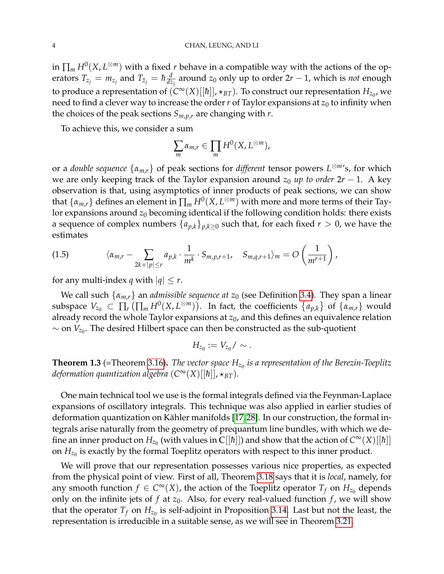in  $\prod_m H^0(X,L^{\otimes m})$  with a fixed *r* behave in a compatible way with the actions of the operators  $T_{z_j} = m_{z_j}$  and  $T_{\bar{z}_j} = \hbar \frac{d}{dz}$ *dz<sup>j</sup>* around *z*<sup>0</sup> only up to order 2*r* − 1, which is *not* enough to produce a representation of  $(C^\infty(X)[[\hbar]], \star_{BT})$ . To construct our representation  $H_{z_0}$ , we need to find a clever way to increase the order  $r$  of Taylor expansions at  $z_0$  to infinity when the choices of the peak sections *Sm*,*p*,*<sup>r</sup>* are changing with *r*.

To achieve this, we consider a sum

$$
\sum_{m} \alpha_{m,r} \in \prod_{m} H^{0}(X, L^{\otimes m}),
$$

or a *double sequence* {*αm*,*r*} of peak sections for *different* tensor powers *L* <sup>⊗</sup>*m*'s, for which we are only keeping track of the Taylor expansion around  $z_0$  *up to order*  $2r - 1$ . A key observation is that, using asymptotics of inner products of peak sections, we can show that  $\{\alpha_{m,r}\}$  defines an element in  $\prod_m H^0(X,L^{\otimes m})$  with more and more terms of their Taylor expansions around  $z_0$  becoming identical if the following condition holds: there exists a sequence of complex numbers  $\{a_{p,k}\}_{p,k\geq 0}$  such that, for each fixed  $r > 0$ , we have the estimates

(1.5) 
$$
\langle \alpha_{m,r} - \sum_{2k+|p| \leq r} a_{p,k} \cdot \frac{1}{m^k} \cdot S_{m,p,r+1}, \quad S_{m,q,r+1} \rangle_m = O\left(\frac{1}{m^{r+1}}\right),
$$

for any multi-index *q* with  $|q| \leq r$ .

We call such  $\{\alpha_{m,r}\}\$ an *admissible sequence at*  $z_0$  (see Definition [3.4\)](#page-15-0). They span a linear subspace  $V_{z_0} \subset \prod_r \left( \prod_m H^0(X, L^{\otimes m}) \right)$ . In fact, the coefficients  $\{a_{p,k}\}\$  of  $\{\alpha_{m,r}\}\$  would already record the whole Taylor expansions at  $z_0$ , and this defines an equivalence relation  $\sim$  on  $V_{z_0}$ . The desired Hilbert space can then be constructed as the sub-quotient

$$
H_{z_0}:=V_{z_0}/\sim.
$$

<span id="page-3-0"></span>**Theorem 1.3** (=Theorem [3.16\)](#page-18-0)**.** *The vector space Hz*<sup>0</sup> *is a representation of the Berezin-Toeplitz deformation quantization algebra*  $(C^{\infty}(X)[[{\hbar}]]$ ,  $\star_{BT}$ ).

One main technical tool we use is the formal integrals defined via the Feynman-Laplace expansions of oscillatory integrals. This technique was also applied in earlier studies of deformation quantization on Kähler manifolds [\[17,](#page-26-11)28]. In our construction, the formal integrals arise naturally from the geometry of prequantum line bundles, with which we define an inner product on  $H_{z_0}$  (with values in  $\mathbb{C}[[\hbar]])$  and show that the action of  $C^\infty(X)[[\hbar]]$ on  $H_{z_0}$  is exactly by the formal Toeplitz operators with respect to this inner product.

We will prove that our representation possesses various nice properties, as expected from the physical point of view. First of all, Theorem [3.18](#page-19-0) says that it is *local*, namely, for any smooth function  $f \in C^{\infty}(X)$ , the action of the Toeplitz operator  $T_f$  on  $H_{z_0}$  depends only on the infinite jets of  $f$  at  $z_0$ . Also, for every real-valued function  $f$ , we will show that the operator  $T_f$  on  $H_{z_0}$  is self-adjoint in Proposition [3.14.](#page-18-1) Last but not the least, the representation is irreducible in a suitable sense, as we will see in Theorem [3.21.](#page-20-0)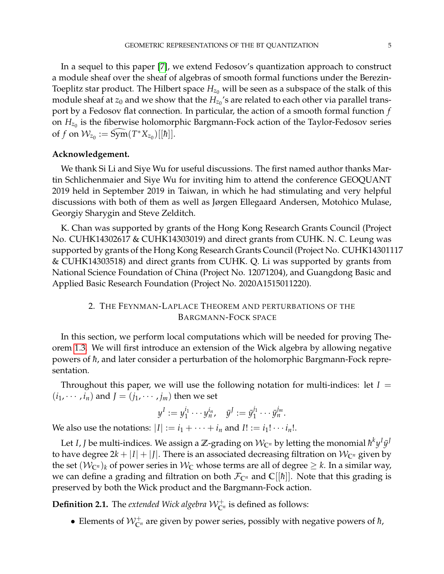In a sequel to this paper [\[7\]](#page-26-13), we extend Fedosov's quantization approach to construct a module sheaf over the sheaf of algebras of smooth formal functions under the Berezin-Toeplitz star product. The Hilbert space  $H_{z_0}$  will be seen as a subspace of the stalk of this module sheaf at  $z_0$  and we show that the  $H_{z_0}$ 's are related to each other via parallel transport by a Fedosov flat connection. In particular, the action of a smooth formal function *f* on  $H_{z_0}$  is the fiberwise holomorphic Bargmann-Fock action of the Taylor-Fedosov series of *f* on  $W_{z_0} := \widehat{\text{Sym}}(T^*X_{z_0})[[\hbar]]$ .

## **Acknowledgement.**

We thank Si Li and Siye Wu for useful discussions. The first named author thanks Martin Schlichenmaier and Siye Wu for inviting him to attend the conference GEOQUANT 2019 held in September 2019 in Taiwan, in which he had stimulating and very helpful discussions with both of them as well as Jørgen Ellegaard Andersen, Motohico Mulase, Georgiy Sharygin and Steve Zelditch.

K. Chan was supported by grants of the Hong Kong Research Grants Council (Project No. CUHK14302617 & CUHK14303019) and direct grants from CUHK. N. C. Leung was supported by grants of the Hong Kong Research Grants Council (Project No. CUHK14301117 & CUHK14303518) and direct grants from CUHK. Q. Li was supported by grants from National Science Foundation of China (Project No. 12071204), and Guangdong Basic and Applied Basic Research Foundation (Project No. 2020A1515011220).

## <span id="page-4-0"></span>2. THE FEYNMAN-LAPLACE THEOREM AND PERTURBATIONS OF THE BARGMANN-FOCK SPACE

In this section, we perform local computations which will be needed for proving Theorem [1.3.](#page-3-0) We will first introduce an extension of the Wick algebra by allowing negative powers of  $\hbar$ , and later consider a perturbation of the holomorphic Bargmann-Fock representation.

Throughout this paper, we will use the following notation for multi-indices: let  $I =$  $(i_1, \dots, i_n)$  and  $J = (j_1, \dots, j_m)$  then we set

$$
y^I := y_1^{i_1} \cdots y_n^{i_n}, \quad \bar{y}^I := \bar{y}_1^{j_1} \cdots \bar{y}_n^{j_m}.
$$

We also use the notations:  $|I| := i_1 + \cdots + i_n$  and  $I! := i_1! \cdots i_n!$ .

Let *I, J* be multi-indices. We assign a  $\mathbb{Z}$ -grading on  $\mathcal{W}_{\mathbb{C}^n}$  by letting the monomial  $\hbar^k y^I \bar{y}^J$ to have degree  $2k + |I| + |J|$ . There is an associated decreasing filtration on  $\mathcal{W}_{\mathbb{C}^n}$  given by the set  $(W_{\mathbb{C}^n})_k$  of power series in  $W_{\mathbb{C}}$  whose terms are all of degree  $\geq k$ . In a similar way, we can define a grading and filtration on both  $\mathcal{F}_{\mathbb{C}^n}$  and  $\mathbb{C}[\hbar]$ . Note that this grading is preserved by both the Wick product and the Bargmann-Fock action.

**Definition 2.1.** The *extended Wick algebra*  $\mathcal{W}_{\mathbb{C}^n}^+$  is defined as follows:

• Elements of  $\mathcal{W}_{\mathbb{C}^n}^+$  are given by power series, possibly with negative powers of  $\hbar$ ,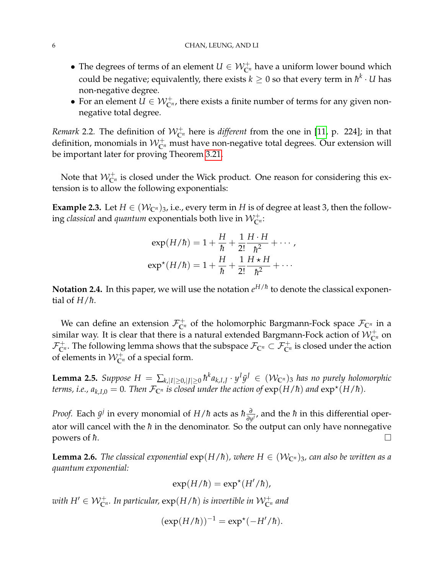- The degrees of terms of an element  $U \in \mathcal{W}_{\mathbb{C}^n}^+$  have a uniform lower bound which could be negative; equivalently, there exists  $k\geq 0$  so that every term in  $\hbar^k\cdot U$  has non-negative degree.
- For an element  $U \in \mathcal{W}_{\mathbb{C}^n}^+$ , there exists a finite number of terms for any given nonnegative total degree.

*Remark* 2.2. The definition of  $W_{\mathbb{C}^n}^+$  here is *different* from the one in [\[11,](#page-26-0) p. 224]; in that definition, monomials in  $\mathcal{W}_{\mathbb{C}^n}^+$  must have non-negative total degrees. Our extension will be important later for proving Theorem [3.21.](#page-20-0)

Note that  $\mathcal{W}_{\mathbb{C}^n}^+$  is closed under the Wick product. One reason for considering this extension is to allow the following exponentials:

**Example 2.3.** Let  $H \in (\mathcal{W}_{\mathbb{C}^n})_3$ , i.e., every term in *H* is of degree at least 3, then the following *classical* and  $\emph{quantum$  exponentials both live in  $\mathcal{W}_{\mathbb{C}^n}^+.$ 

$$
\exp(H/\hbar) = 1 + \frac{H}{\hbar} + \frac{1}{2!} \frac{H \cdot H}{\hbar^2} + \cdots,
$$
  

$$
\exp^{\star}(H/\hbar) = 1 + \frac{H}{\hbar} + \frac{1}{2!} \frac{H \star H}{\hbar^2} + \cdots
$$

 $\bf{Notation 2.4.}$  In this paper, we will use the notation  $e^{H/\hbar}$  to denote the classical exponential of  $H/\hbar$ .

We can define an extension  $\mathcal{F}_{\mathbb{C}^n}^+$  of the holomorphic Bargmann-Fock space  $\mathcal{F}_{\mathbb{C}^n}$  in a similar way. It is clear that there is a natural extended Bargmann-Fock action of  $\mathcal{W}_{\mathbb{C}^n}^+$  on  $\mathcal{F}_{\mathbb{C}^n}^+$ . The following lemma shows that the subspace  $\mathcal{F}_{\mathbb{C}^n}\subset \mathcal{F}_{\mathbb{C}^n}^+$  is closed under the action of elements in  $\mathcal{W}_{\mathbb{C}^n}^+$  of a special form.

<span id="page-5-1"></span> $L$ emma 2.5. *Suppose*  $H = \sum_{k,|I|\geq 0,|J|\geq 0} \hbar^k a_{k,I,J} \cdot y^I \bar{y}^J \in (\mathcal{W}_{\mathbb{C}^n})_3$  *has no purely holomorphic terms, i.e.,*  $a_{k,I,0} = 0$ *. Then*  $\mathcal{F}_{\mathbb{C}^n}$  *is closed under the action of*  $\exp(H/\hbar)$  *and*  $\exp^{\star}(H/\hbar)$ *.* 

*Proof.* Each  $\bar{y}^j$  in every monomial of *H*/ $\hbar$  acts as  $\hbar \frac{\partial}{\partial n}$ *∂<sub>y</sub>*<sup>*j*</sup>, and the *ħ* in this differential operator will cancel with the  $\hbar$  in the denominator. So the output can only have nonnegative powers of  $\hbar$ .

<span id="page-5-0"></span>**Lemma 2.6.** *The classical exponential*  $exp(H/\hbar)$ *, where*  $H \in (W_{\mathbb{C}^n})_3$ *, can also be written as a quantum exponential:*

$$
\exp(H/\hbar) = \exp^{\star}(H'/\hbar),
$$

with  $H' \in \mathcal{W}_{\mathbb{C}^n}^+$ . In particular,  $\exp(H/\hbar)$  is invertible in  $\mathcal{W}_{\mathbb{C}^n}^+$  and

$$
(\exp(H/\hbar))^{-1} = \exp^{\star}(-H'/\hbar).
$$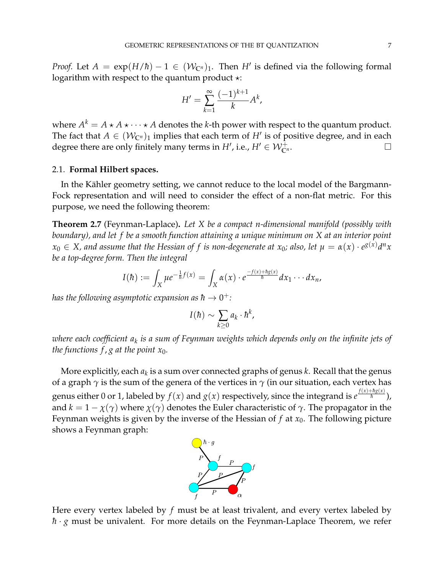*Proof.* Let  $A = \exp(H/\hbar) - 1 \in (W_{\mathbb{C}^n})_1$ . Then  $H'$  is defined via the following formal logarithm with respect to the quantum product  $\star$ :

$$
H' = \sum_{k=1}^{\infty} \frac{(-1)^{k+1}}{k} A^k,
$$

where  $A^k = A \star A \star \cdots \star A$  denotes the *k*-th power with respect to the quantum product. The fact that  $A \in (\mathcal{W}_{\mathbb{C}^n})_1$  implies that each term of  $H'$  is of positive degree, and in each degree there are only finitely many terms in  $H'$ , i.e.,  $H' \in \mathcal{W}_{\mathbb{C}'}^{\perp}$  $\overline{\mathbb{C}}^{n}$  .  $\Box$ 

### <span id="page-6-1"></span>2.1. **Formal Hilbert spaces.**

In the Kähler geometry setting, we cannot reduce to the local model of the Bargmann-Fock representation and will need to consider the effect of a non-flat metric. For this purpose, we need the following theorem:

<span id="page-6-0"></span>**Theorem 2.7** (Feynman-Laplace)**.** *Let X be a compact n-dimensional manifold (possibly with boundary), and let f be a smooth function attaining a unique minimum on X at an interior point*  $x_0 \in X$ , and assume that the Hessian of  $f$  is non-degenerate at  $x_0$ ; also, let  $\mu = \alpha(x) \cdot e^{g(x)} d^n x$ *be a top-degree form. Then the integral*

$$
I(\hbar):=\int_X\mu e^{-\frac{1}{\hbar}f(x)}=\int_X\alpha(x)\cdot e^{\frac{-f(x)+\hbar g(x)}{\hbar}}dx_1\cdots dx_n,
$$

has the following asymptotic expansion as  $\hbar\to 0^+$  :

$$
I(\hbar) \sim \sum_{k\geq 0} a_k \cdot \hbar^k,
$$

*where each coefficient a<sup>k</sup> is a sum of Feynman weights which depends only on the infinite jets of the functions f, g at the point*  $x_0$ *.* 

More explicitly, each *a<sup>k</sup>* is a sum over connected graphs of genus *k*. Recall that the genus of a graph  $\gamma$  is the sum of the genera of the vertices in  $\gamma$  (in our situation, each vertex has genus either 0 or 1, labeled by  $f(x)$  and  $g(x)$  respectively, since the integrand is  $e^{\frac{f(x)+\hbar g(x)}{\hbar}}$ ), and  $k = 1 - \chi(\gamma)$  where  $\chi(\gamma)$  denotes the Euler characteristic of  $\gamma$ . The propagator in the Feynman weights is given by the inverse of the Hessian of  $f$  at  $x_0$ . The following picture shows a Feynman graph:



Here every vertex labeled by *f* must be at least trivalent, and every vertex labeled by  $\hbar$  · *g* must be univalent. For more details on the Feynman-Laplace Theorem, we refer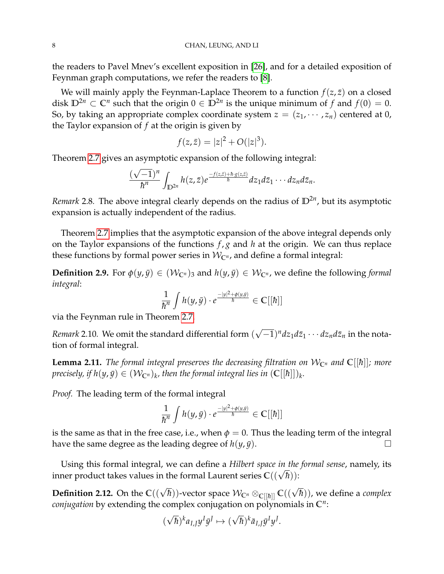the readers to Pavel Mnev's excellent exposition in [\[26\]](#page-26-14), and for a detailed exposition of Feynman graph computations, we refer the readers to [\[8\]](#page-26-15).

We will mainly apply the Feynman-Laplace Theorem to a function  $f(z, \bar{z})$  on a closed disk  $\mathbb{D}^{2n} \subset \mathbb{C}^n$  such that the origin  $0 \in \mathbb{D}^{2n}$  is the unique minimum of *f* and  $f(0) = 0$ . So, by taking an appropriate complex coordinate system  $z = (z_1, \dots, z_n)$  centered at 0, the Taylor expansion of *f* at the origin is given by

$$
f(z,\bar{z}) = |z|^2 + O(|z|^3).
$$

Theorem [2.7](#page-6-0) gives an asymptotic expansion of the following integral:

$$
\frac{(\sqrt{-1})^n}{\hbar^n}\int_{\mathbb{D}^{2n}}h(z,\overline{z})e^{\frac{-f(z,\overline{z})+\hbar\cdot g(z,\overline{z})}{\hbar}}dz_1d\overline{z}_1\cdots dz_nd\overline{z}_n.
$$

*Remark* 2.8*.* The above integral clearly depends on the radius of **D**2*<sup>n</sup>* , but its asymptotic expansion is actually independent of the radius.

Theorem [2.7](#page-6-0) implies that the asymptotic expansion of the above integral depends only on the Taylor expansions of the functions *f* , *g* and *h* at the origin. We can thus replace these functions by formal power series in  $W_{\mathbb{C}^n}$ , and define a formal integral:

<span id="page-7-0"></span>**Definition 2.9.** For  $\phi(y, \bar{y}) \in (W_{\mathbb{C}^n})_3$  and  $h(y, \bar{y}) \in W_{\mathbb{C}^n}$ , we define the following *formal integral*:

$$
\frac{1}{\hbar^n}\int h(y,\bar{y})\cdot e^{\frac{-|y|^2+\phi(y,\bar{y})}{\hbar}}\in\mathbb{C}[[\hbar]]
$$

via the Feynman rule in Theorem [2.7.](#page-6-0)

*Remark* 2.10*.* We omit the standard differential form ( √  $\overline{-1})^n dz_1 d\bar{z}_1 \cdots dz_n d\bar{z}_n$  in the notation of formal integral.

<span id="page-7-1"></span>**Lemma 2.11.** *The formal integral preserves the decreasing filtration on*  $W_{\mathbb{C}^n}$  *and*  $\mathbb{C}[[\hbar]]$ *; more*  $p$ recisely, if  $h(y,\bar{y})\in (\mathcal{W}_{\mathbb{C}^n})_k$ , then the formal integral lies in  $(\mathbb{C}[[\hbar]])_k$ .

*Proof.* The leading term of the formal integral

$$
\frac{1}{\hbar^n}\int h(y,\bar{y})\cdot e^{\frac{-|y|^2+\phi(y,\bar{y})}{\hbar}}\in\mathbb{C}[[\hbar]]
$$

is the same as that in the free case, i.e., when  $\phi = 0$ . Thus the leading term of the integral have the same degree as the leading degree of  $h(y, \bar{y})$ .

Using this formal integral, we can define a *Hilbert space in the formal sense*, namely, its Using this formal integral, we can define a *Hibert space in the*<br>inner product takes values in the formal Laurent series  $\mathbb{C}((\sqrt{\hbar}))$ :

 $\bf{Definition 2.12. On the  $\mathbb{C}((\sqrt{\hbar}))$ -vector space  $\mathcal{W}_{\mathbb{C}^n} \otimes_{\mathbb{C}[[\hbar]]} \mathbb{C}((\sqrt{\hbar}))$ , we define a complex$ *conjugation* by extending the complex conjugation on polynomials in **C***<sup>n</sup>* :

$$
(\sqrt{\hbar})^k a_{I,J} y^I \bar{y}^J \mapsto (\sqrt{\hbar})^k \bar{a}_{I,J} \bar{y}^I y^J.
$$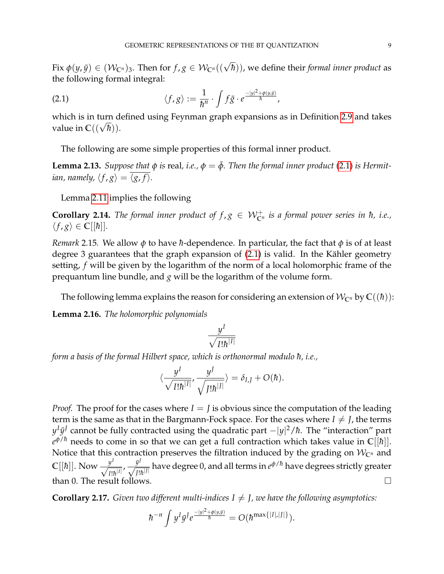$\text{Fix } \phi(y,\bar{y}) \in (\mathcal{W}_{\mathbb{C}^n})_3.$  Then for  $f,g \in \mathcal{W}_{\mathbb{C}^n}((\sqrt{\hbar})),$  we define their *formal inner product* as the following formal integral:

<span id="page-8-0"></span>(2.1) 
$$
\langle f, g \rangle := \frac{1}{\hbar^n} \cdot \int f \bar{g} \cdot e^{\frac{-|y|^2 + \phi(y, \bar{y})}{\hbar}},
$$

which is in turn defined using Feynman graph expansions as in Definition [2.9](#page-7-0) and takes which is in turn d<br>value in  $\mathbb{C}((\sqrt{\hbar})).$ 

The following are some simple properties of this formal inner product.

**Lemma 2.13.** *Suppose that*  $\phi$  *is* real, *i.e.*,  $\phi = \bar{\phi}$ . *Then the formal inner product* [\(2.1\)](#page-8-0) *is Hermitian, namely,*  $\langle f, g \rangle = \overline{\langle g, f \rangle}$ .

Lemma [2.11](#page-7-1) implies the following

**Corollary 2.14.** The formal inner product of  $f, g \in \mathcal{W}_{\mathbb{C}^n}^+$  is a formal power series in  $\hbar$ , i.e.,  $\langle f, g \rangle \in \mathbb{C}[[\hbar]]$ *.* 

*Remark* 2.15*.* We allow  $\phi$  to have *h*-dependence. In particular, the fact that  $\phi$  is of at least degree 3 guarantees that the graph expansion of  $(2.1)$  is valid. In the Kähler geometry setting, *f* will be given by the logarithm of the norm of a local holomorphic frame of the prequantum line bundle, and *g* will be the logarithm of the volume form.

The following lemma explains the reason for considering an extension of  $W_{\mathbb{C}^n}$  by  $\mathbb{C}((\hbar))$ :

<span id="page-8-1"></span>**Lemma 2.16.** *The holomorphic polynomials*

$$
\frac{y^I}{\sqrt{I!\hbar^{|I|}}}
$$

*form a basis of the formal Hilbert space, which is orthonormal modulo h, i.e.,* 

$$
\langle \frac{y^I}{\sqrt{I! \hbar^{|I|}}}, \frac{y^J}{\sqrt{J! \hbar^{|J|}}}\rangle = \delta_{I,J} + O(\hbar).
$$

*Proof.* The proof for the cases where  $I = J$  is obvious since the computation of the leading term is the same as that in the Bargmann-Fock space. For the cases where  $I \neq J$ , the terms *y<sup>I</sup>ȳ<sup>J</sup>* cannot be fully contracted using the quadratic part −|*y*|<sup>2</sup>/ħ. The "interaction" part  $e^{\phi/\hbar}$  needs to come in so that we can get a full contraction which takes value in **C**[[ħ]]. Notice that this contraction preserves the filtration induced by the grading on  $W_{\mathbb{C}^n}$  and  $\mathbb{C}[[\hbar]]$ . Now  $\frac{y^I}{\sqrt{2}}$  $\frac{y^I}{I! \hbar^{|I|}}$ ,  $\frac{\bar{y}^J}{\sqrt{J!}}$  $\frac{y'}{J!\hbar^{|J|}}$  have degree 0, and all terms in  $e^{\phi/\hbar}$  have degrees strictly greater than 0. The result follows.

<span id="page-8-2"></span>**Corollary 2.17.** *Given two different multi-indices*  $I \neq J$ *, we have the following asymptotics:* 

$$
\hbar^{-n}\int y^I\bar{y}^Je^{\frac{-|y|^2+\phi(y,\bar{y})}{\hbar}}=O(\hbar^{\max\{|I|,|J|\}}).
$$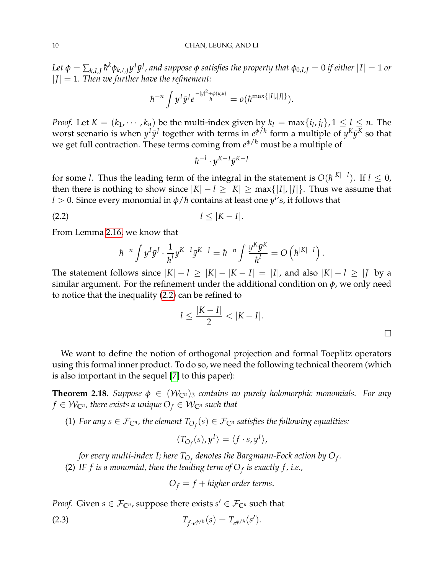Let  $\phi=\sum_{k,I,J} \hbar^k \phi_{k,I,J} y^I \bar{y}^J$  , and suppose  $\phi$  satisfies the property that  $\phi_{0,I,J}=0$  if either  $|I|=1$  or  $|J| = 1$ . Then we further have the refinement:

$$
\hbar^{-n}\int y^I\bar{y}^Je^{\frac{-|y|^2+\phi(y,\bar{y})}{\hbar}}=o(\hbar^{\max\{|I|,|J|\}}).
$$

*Proof.* Let  $K = (k_1, \dots, k_n)$  be the multi-index given by  $k_l = \max\{i_l, j_l\}$ ,  $1 \le l \le n$ . The worst scenario is when  $y^I\bar{y}^J$  together with terms in  $e^{\phi/\hbar}$  form a multiple of  $y^K\bar{y}^K$  so that we get full contraction. These terms coming from *e <sup>φ</sup>*/¯*<sup>h</sup>* must be a multiple of

<span id="page-9-0"></span>
$$
\hbar^{-l}\cdot y^{K-I}\bar{y}^{K-I}
$$

for some *l*. Thus the leading term of the integral in the statement is  $O(\hbar^{|K|-l})$ . If  $l \leq 0$ , then there is nothing to show since  $|K| - l \geq |K| \geq \max\{|I|, |J|\}$ . Thus we assume that  $l > 0$ . Since every monomial in  $\phi / \hbar$  contains at least one  $y^{i'}$ s, it follows that

$$
l \leq |K - I|.
$$

From Lemma [2.16,](#page-8-1) we know that

$$
\hbar^{-n}\int y^I\bar{y}^J\cdot\frac{1}{\hbar^l}y^{K-l}\bar{y}^{K-J}=\hbar^{-n}\int \frac{y^K\bar{y}^K}{\hbar^l}=O\left(\hbar^{|K|-l}\right).
$$

The statement follows since  $|K| - l \geq |K| - |K - I| = |I|$ , and also  $|K| - l \geq |J|$  by a similar argument. For the refinement under the additional condition on *φ*, we only need to notice that the inequality [\(2.2\)](#page-9-0) can be refined to

$$
l \leq \frac{|K - I|}{2} < |K - I|.
$$

We want to define the notion of orthogonal projection and formal Toeplitz operators using this formal inner product. To do so, we need the following technical theorem (which is also important in the sequel [\[7\]](#page-26-13) to this paper):

<span id="page-9-2"></span>**Theorem 2.18.** *Suppose*  $\phi \in (W_{\mathbb{C}^n})_3$  *contains no purely holomorphic monomials. For any*  $f \in \mathcal{W}_{\mathbb{C}^n}$ , there exists a unique  $O_f \in \mathcal{W}_{\mathbb{C}^n}$  such that

(1) For any  $s \in \mathcal{F}_{\mathbb{C}^n}$ , the element  $T_{O_f}(s) \in \mathcal{F}_{\mathbb{C}^n}$  satisfies the following equalities:

$$
\langle T_{O_f}(s), y^I \rangle = \langle f \cdot s, y^I \rangle,
$$

for every multi-index I; here  $T_{O_f}$  denotes the Bargmann-Fock action by  $O_f$ . (2) *IF f is a monomial, then the leading term of O<sup>f</sup> is exactly f , i.e.,*

<span id="page-9-1"></span>
$$
O_f = f + higher order terms.
$$

*Proof.* Given  $s \in \mathcal{F}_{\mathbb{C}^n}$ , suppose there exists  $s' \in \mathcal{F}_{\mathbb{C}^n}$  such that

(2.3) 
$$
T_{f \cdot e^{\phi/\hbar}}(s) = T_{e^{\phi/\hbar}}(s').
$$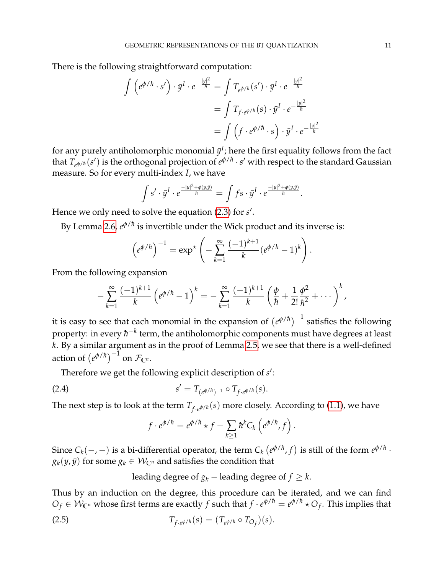There is the following straightforward computation:

$$
\int \left( e^{\phi/\hbar} \cdot s' \right) \cdot \bar{y}^I \cdot e^{-\frac{|y|^2}{\hbar}} = \int T_{e^{\phi/\hbar}}(s') \cdot \bar{y}^I \cdot e^{-\frac{|y|^2}{\hbar}}
$$
\n
$$
= \int T_{f \cdot e^{\phi/\hbar}}(s) \cdot \bar{y}^I \cdot e^{-\frac{|y|^2}{\hbar}}
$$
\n
$$
= \int \left( f \cdot e^{\phi/\hbar} \cdot s \right) \cdot \bar{y}^I \cdot e^{-\frac{|y|^2}{\hbar}}
$$

for any purely antiholomorphic monomial  $\bar{y}^I$ ; here the first equality follows from the fact that  $T_{e^{\phi/h}}(s')$  is the orthogonal projection of  $e^{\phi/h}\cdot s'$  with respect to the standard Gaussian measure. So for every multi-index *I*, we have

$$
\int s' \cdot \bar{y}^I \cdot e^{\frac{-|y|^2 + \phi(y,\bar{y})}{\hbar}} = \int f s \cdot \bar{y}^I \cdot e^{\frac{-|y|^2 + \phi(y,\bar{y})}{\hbar}}.
$$

Hence we only need to solve the equation [\(2.3\)](#page-9-1) for *s'*.

By Lemma 2.6*, e* $^{\phi/\hbar}$  is invertible under the Wick product and its inverse is:

$$
\left(e^{\phi/\hbar}\right)^{-1} = \exp^{\star}\left(-\sum_{k=1}^{\infty}\frac{(-1)^{k+1}}{k}(e^{\phi/\hbar}-1)^k\right).
$$

From the following expansion

$$
-\sum_{k=1}^{\infty} \frac{(-1)^{k+1}}{k} \left(e^{\phi/\hbar}-1\right)^k=-\sum_{k=1}^{\infty} \frac{(-1)^{k+1}}{k} \left(\frac{\phi}{\hbar}+\frac{1}{2!}\frac{\phi^2}{\hbar^2}+\cdots\right)^k,
$$

it is easy to see that each monomial in the expansion of  $(e^{\phi/\hbar})^{-1}$  satisfies the following property: in every  $\hbar^{-k}$  term, the antiholomorphic components must have degrees at least *k*. By a similar argument as in the proof of Lemma [2.5,](#page-5-1) we see that there is a well-defined action of  $(e^{\phi/\hbar})^{-1}$  on  $\mathcal{F}_{\mathbb{C}^n}$ .

Therefore we get the following explicit description of s':

(2.4) 
$$
s' = T_{(e^{\phi/h})^{-1}} \circ T_{f \cdot e^{\phi/h}}(s).
$$

The next step is to look at the term  $T_{f \cdot e^{\phi/h}}(s)$  more closely. According to [\(1.1\)](#page-1-2), we have

$$
f \cdot e^{\phi/\hbar} = e^{\phi/\hbar} \star f - \sum_{k \ge 1} \hbar^k C_k \left( e^{\phi/\hbar}, f \right).
$$

Since  $C_k(-,-)$  is a bi-differential operator, the term  $C_k\left(e^{\phi/\hbar},f\right)$  is still of the form  $e^{\phi/\hbar}$  ·  $g_k(y, \bar{y})$  for some  $g_k \in \mathcal{W}_{\mathbb{C}^n}$  and satisfies the condition that

leading degree of  $g_k$  – leading degree of  $f \geq k$ .

Thus by an induction on the degree, this procedure can be iterated, and we can find  $O_f \in \mathcal{W}_{\mathbb{C}^n}$  whose first terms are exactly  $f$  such that  $f \cdot e^{\phi/h} = e^{\phi/h} \star O_f$ . This implies that

(2.5) 
$$
T_{f \cdot e^{\phi/\hbar}}(s) = (T_{e^{\phi/\hbar}} \circ T_{O_f})(s).
$$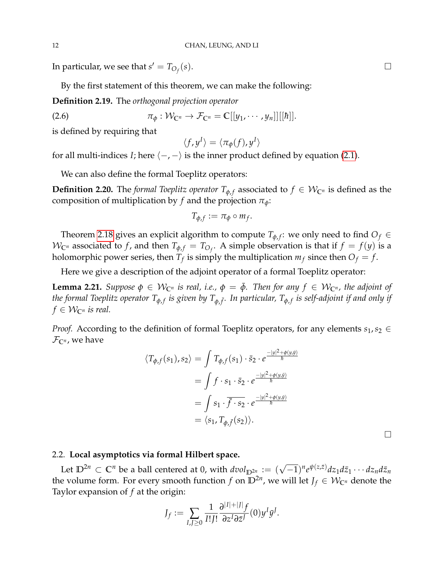In particular, we see that  $s' = T_{O_f}$ (*s*).

By the first statement of this theorem, we can make the following:

**Definition 2.19.** The *orthogonal projection operator*

$$
\pi_{\phi}: \mathcal{W}_{\mathbb{C}^n} \to \mathcal{F}_{\mathbb{C}^n} = \mathbb{C}[[y_1, \cdots, y_n]][[\hbar]].
$$

is defined by requiring that

$$
\langle f, y^I \rangle = \langle \pi_{\phi}(f), y^I \rangle
$$

for all multi-indices *I*; here  $\langle -, - \rangle$  is the inner product defined by equation [\(2.1\)](#page-8-0).

We can also define the formal Toeplitz operators:

**Definition 2.20.** The *formal Toeplitz operator*  $T_{\phi,f}$  associated to  $f \in \mathcal{W}_{\mathbb{C}^n}$  is defined as the composition of multiplication by *f* and the projection  $\pi_{\phi}$ :

$$
T_{\phi,f}:=\pi_{\phi}\circ m_f.
$$

Theorem [2.18](#page-9-2) gives an explicit algorithm to compute  $T_{\phi,f}$ : we only need to find  $O_f \in$  $W_{\mathbb{C}^n}$  associated to *f*, and then  $T_{\phi,f} = T_{O_f}$ . A simple observation is that if  $f = f(y)$  is a holomorphic power series, then  $T_f$  is simply the multiplication  $m_f$  since then  $O_f = f$ .

Here we give a description of the adjoint operator of a formal Toeplitz operator:

<span id="page-11-1"></span>**Lemma 2.21.** *Suppose*  $\phi \in \mathcal{W}_{\mathbb{C}^n}$  *is real, i.e.,*  $\phi = \bar{\phi}$ *. Then for any*  $f \in \mathcal{W}_{\mathbb{C}^n}$ *, the adjoint of* the formal Toeplitz operator  $T_{\phi,f}$  is given by  $T_{\phi,\bar{f}}.$  In particular,  $T_{\phi,f}$  is self-adjoint if and only if  $f \in \mathcal{W}_{\mathbb{C}^n}$  *is real.* 

*Proof.* According to the definition of formal Toeplitz operators, for any elements  $s_1, s_2 \in$  $\mathcal{F}_{\mathbb{C}^n}$ , we have

$$
\langle T_{\phi,f}(s_1), s_2 \rangle = \int T_{\phi,f}(s_1) \cdot \bar{s}_2 \cdot e^{\frac{-|y|^2 + \phi(y,\bar{y})}{\hbar}}
$$
  

$$
= \int f \cdot s_1 \cdot \bar{s}_2 \cdot e^{\frac{-|y|^2 + \phi(y,\bar{y})}{\hbar}}
$$
  

$$
= \int s_1 \cdot \overline{\bar{f} \cdot s_2} \cdot e^{\frac{-|y|^2 + \phi(y,\bar{y})}{\hbar}}
$$
  

$$
= \langle s_1, T_{\phi,\bar{f}}(s_2) \rangle.
$$

<span id="page-11-0"></span>2.2. **Local asymptotics via formal Hilbert space.**

Let  $\mathbb{D}^{2n} \subset \mathbb{C}^n$  be a ball centered at 0, with  $dvol_{\mathbb{D}^{2n}} := (\sqrt{-1})^n e^{\psi(z,\bar{z})} dz_1 d\bar{z}_1 \cdots dz_n d\bar{z}_n$ the volume form. For every smooth function  $f$  on  $\mathbb{D}^{2n}$ , we will let  $J_f\in\mathcal{W}_{\mathbb{C}^n}$  denote the Taylor expansion of *f* at the origin:

$$
J_f := \sum_{I,J \geq 0} \frac{1}{I!J!} \frac{\partial^{|I|+|J|} f}{\partial z^I \partial \bar{z}^J} (0) y^I \bar{y}^J.
$$

 $\Box$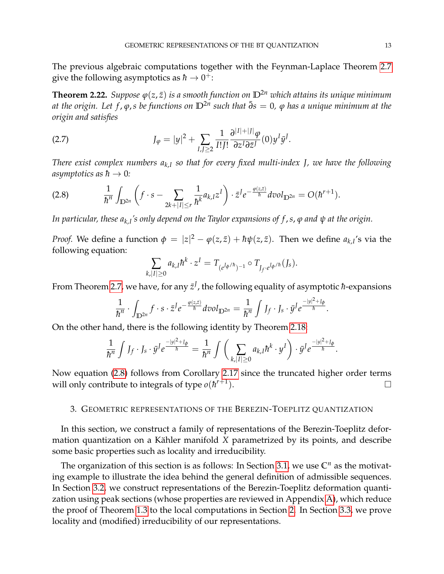The previous algebraic computations together with the Feynman-Laplace Theorem [2.7](#page-6-0) give the following asymptotics as  $\hbar \to 0^+$ :

<span id="page-12-1"></span>**Theorem 2.22.** *Suppose*  $\varphi(z,\bar{z})$  *is a smooth function on*  $\mathbb{D}^{2n}$  *which attains its unique minimum at the origin. Let f* , *ϕ*,*s be functions on* **D**2*<sup>n</sup> such that* ¯*∂s* = 0*, ϕ has a unique minimum at the origin and satisfies*

<span id="page-12-2"></span>(2.7) 
$$
J_{\varphi} = |y|^2 + \sum_{I,J\geq 2} \frac{1}{I!J!} \frac{\partial^{|I|+|J|} \varphi}{\partial z^I \partial \bar{z}^J} (0) y^I \bar{y}^J.
$$

*There exist complex numbers ak*,*<sup>I</sup> so that for every fixed multi-index J, we have the following asymptotics as*  $\hbar \rightarrow 0$ :

<span id="page-12-0"></span>
$$
(2.8) \qquad \frac{1}{\hbar^n}\int_{\mathbb{D}^{2n}}\left(f\cdot s-\sum_{2k+|I|\leq r}\frac{1}{\hbar^k}a_{k,I}z^I\right)\cdot \bar{z}^Je^{-\frac{\varphi(z,\bar{z})}{\hbar}}dvol_{\mathbb{D}^{2n}}=O(\hbar^{r+1}).
$$

*In particular, these ak*,*<sup>I</sup> 's only depend on the Taylor expansions of f* ,*s*, *ϕ and ψ at the origin.*

*Proof.* We define a function  $\phi = |z|^2 - \phi(z,\bar{z}) + \hbar\psi(z,\bar{z})$ . Then we define  $a_{k,I}$ 's via the following equation:

$$
\sum_{k,|I|\geq 0} a_{k,I} \hbar^k \cdot z^I = T_{(e^{J_{\phi}/\hbar})^{-1}} \circ T_{J_f \cdot e^{J_{\phi}/\hbar}}(J_s).
$$

From Theorem [2.7,](#page-6-0) we have, for any  $\bar{z}^J$ , the following equality of asymptotic  $\hbar$ -expansions

$$
\frac{1}{\hbar^n}\cdot\int_{\mathbb{D}^{2n}}f\cdot s\cdot\bar{z}^Je^{-\frac{\varphi(z,\bar{z})}{\hbar}}dvol_{\mathbb{D}^{2n}}=\frac{1}{\hbar^n}\int J_f\cdot J_s\cdot\bar{y}^Je^{\frac{-|y|^2+J_\phi}{\hbar}}.
$$

On the other hand, there is the following identity by Theorem [2.18:](#page-9-2)

$$
\frac{1}{\hbar^n}\int J_f\cdot J_s\cdot\bar{y}^Je^{\frac{-|y|^2+J_\phi}{\hbar}}=\frac{1}{\hbar^n}\int\bigg(\sum_{k,|I|\geq 0}a_{k,I}\hbar^k\cdot y^I\bigg)\cdot\bar{y}^Je^{\frac{-|y|^2+J_\phi}{\hbar}}.
$$

Now equation [\(2.8\)](#page-12-0) follows from Corollary [2.17](#page-8-2) since the truncated higher order terms will only contribute to integrals of type  $o(h^{r+1})$ ).  $\qquad \qquad \Box$ 

#### 3. GEOMETRIC REPRESENTATIONS OF THE BEREZIN-TOEPLITZ QUANTIZATION

In this section, we construct a family of representations of the Berezin-Toeplitz deformation quantization on a Kähler manifold X parametrized by its points, and describe some basic properties such as locality and irreducibility.

The organization of this section is as follows: In Section [3.1,](#page-13-0) we use  $\mathbb{C}^n$  as the motivating example to illustrate the idea behind the general definition of admissible sequences. In Section [3.2,](#page-14-0) we construct representations of the Berezin-Toeplitz deformation quantization using peak sections (whose properties are reviewed in Appendix [A\)](#page-21-0), which reduce the proof of Theorem [1.3](#page-3-0) to the local computations in Section [2.](#page-4-0) In Section [3.3,](#page-18-2) we prove locality and (modified) irreducibility of our representations.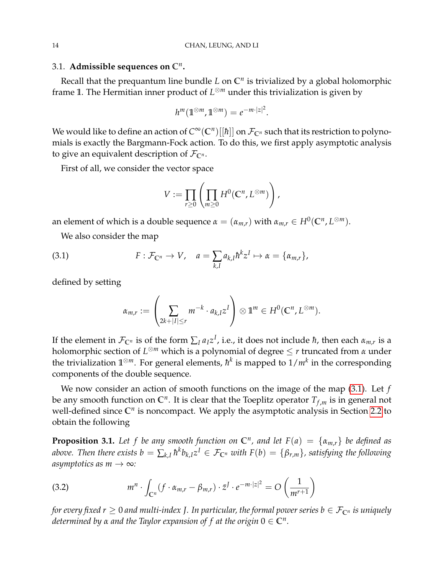# <span id="page-13-0"></span>3.1. Admissible sequences on  $\mathbb{C}^n$ .

Recall that the prequantum line bundle *L* on **C***<sup>n</sup>* is trivialized by a global holomorphic frame **1**. The Hermitian inner product of *L* <sup>⊗</sup>*<sup>m</sup>* under this trivialization is given by

$$
h^m(\mathbb{1}^{\otimes m}, \mathbb{1}^{\otimes m})=e^{-m\cdot|z|^2}.
$$

We would like to define an action of  $C^\infty(\mathbb C^n)[[\hbar]]$  on  $\mathcal F_{\mathbb C^n}$  such that its restriction to polynomials is exactly the Bargmann-Fock action. To do this, we first apply asymptotic analysis to give an equivalent description of  $\mathcal{F}_{\mathbb{C}^n}$ .

First of all, we consider the vector space

$$
V := \prod_{r \geq 0} \left( \prod_{m \geq 0} H^0(\mathbb{C}^n, L^{\otimes m}) \right),
$$

an element of which is a double sequence  $\alpha = (\alpha_{m,r})$  with  $\alpha_{m,r} \in H^0(\mathbb C^n, L^{\otimes m}).$ 

We also consider the map

(3.1) 
$$
F: \mathcal{F}_{\mathbb{C}^n} \to V, \quad a = \sum_{k,I} a_{k,I} \hbar^k z^I \mapsto \alpha = \{\alpha_{m,r}\},
$$

defined by setting

<span id="page-13-1"></span>
$$
\alpha_{m,r}:=\left(\sum_{2k+|I|\leq r}m^{-k}\cdot a_{k,I}z^I\right)\otimes\mathbb{1}^m\in H^0(\mathbb{C}^n,L^{\otimes m}).
$$

If the element in  $\mathcal{F}_{\mathbb{C}^n}$  is of the form  $\sum_I a_I z^I$ , i.e., it does not include  $\hbar$ , then each  $\alpha_{m,r}$  is a holomorphic section of *L* <sup>⊗</sup>*<sup>m</sup>* which is a polynomial of degree ≤ *r* truncated from *α* under the trivialization  $\mathbb{1}^{\otimes m}$ . For general elements*,*  $\hbar^k$  is mapped to  $1/m^k$  in the corresponding components of the double sequence.

We now consider an action of smooth functions on the image of the map [\(3.1\)](#page-13-1). Let *f* be any smooth function on **C***<sup>n</sup>* . It is clear that the Toeplitz operator *T<sup>f</sup>* ,*<sup>m</sup>* is in general not well-defined since  $\mathbb{C}^n$  is noncompact. We apply the asymptotic analysis in Section [2.2](#page-11-0) to obtain the following

<span id="page-13-2"></span>**Proposition 3.1.** Let f be any smooth function on  $\mathbb{C}^n$ , and let  $F(a) = \{\alpha_{m,r}\}\$ be defined as  $a$ bove. Then there exists  $b = \sum_{k,I} \hbar^k b_{k,I} z^I \in \mathcal{F}_{\mathbb{C}^n}$  with  $F(b) = \{\beta_{r,m}\}$ , satisfying the following *asymptotics as m*  $\rightarrow \infty$ *:* 

<span id="page-13-3"></span>(3.2) 
$$
m^n \cdot \int_{\mathbb{C}^n} (f \cdot \alpha_{m,r} - \beta_{m,r}) \cdot \bar{z}^J \cdot e^{-m \cdot |z|^2} = O\left(\frac{1}{m^{r+1}}\right)
$$

*for every fixed r*  $\geq$  0 *and multi-index J. In particular, the formal power series b*  $\in$   $\mathcal{F}_{\mathbb{C}^n}$  *is uniquely determined by α and the Taylor expansion of f at the origin* 0 ∈ **C***<sup>n</sup> .*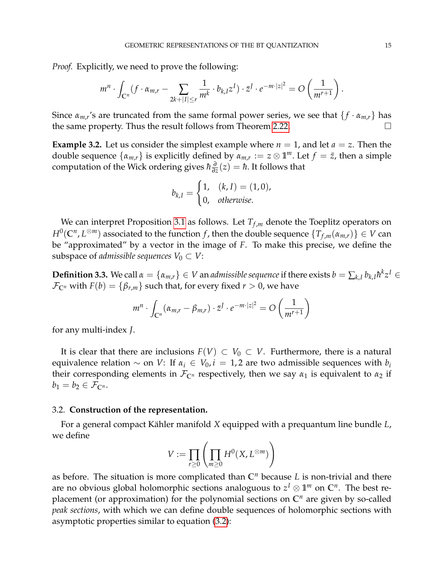*Proof.* Explicitly, we need to prove the following:

$$
m^n \cdot \int_{\mathbb{C}^n} (f \cdot \alpha_{m,r} - \sum_{2k+|I| \leq r} \frac{1}{m^k} \cdot b_{k,I} z^I) \cdot \bar{z}^I \cdot e^{-m \cdot |z|^2} = O\left(\frac{1}{m^{r+1}}\right).
$$

Since  $\alpha_{m,r}$ 's are truncated from the same formal power series, we see that  $\{f \cdot \alpha_{m,r}\}$  has the same property. Thus the result follows from Theorem [2.22.](#page-12-1)

**Example 3.2.** Let us consider the simplest example where  $n = 1$ , and let  $a = z$ . Then the double sequence  $\{\alpha_{m,r}\}$  is explicitly defined by  $\alpha_{m,r} := z \otimes \mathbb{1}^m$ . Let  $f = \bar{z}$ , then a simple computation of the Wick ordering gives ¯*h ∂*  $\frac{\partial}{\partial z}(z) = \hbar$ . It follows that

$$
b_{k,I} = \begin{cases} 1, & (k,I) = (1,0), \\ 0, & otherwise. \end{cases}
$$

We can interpret Proposition [3.1](#page-13-2) as follows. Let  $T_{f,m}$  denote the Toeplitz operators on  $H^0(\mathbb{C}^n,L^{\otimes m})$  associated to the function  $f$  , then the double sequence  $\{T_{f,m}(\alpha_{m,r})\}\in V$  can be "approximated" by a vector in the image of *F*. To make this precise, we define the subspace of *admissible sequences*  $V_0 \subset V$ :

 $\bf{Definition 3.3.}$  We call  $\alpha = \{\alpha_{m,r}\} \in V$  an *admissible sequence* if there exists  $b = \sum_{k,l} b_{k,l} \hbar^k z^I \in V$  $\mathcal{F}_{\mathbb{C}^n}$  with  $F(b) = \{\beta_{r,m}\}\$  such that, for every fixed  $r > 0$ , we have

$$
m^{n} \cdot \int_{\mathbb{C}^n} (\alpha_{m,r} - \beta_{m,r}) \cdot \bar{z}^J \cdot e^{-m \cdot |z|^2} = O\left(\frac{1}{m^{r+1}}\right)
$$

for any multi-index *J*.

It is clear that there are inclusions  $F(V)$  ⊂  $V_0$  ⊂  $V$ . Furthermore, there is a natural equivalence relation  $\sim$  on *V*: If  $\alpha_i \in V_0$ ,  $i = 1, 2$  are two admissible sequences with  $b_i$ their corresponding elements in  $\mathcal{F}_{\mathbb{C}^n}$  respectively, then we say  $\alpha_1$  is equivalent to  $\alpha_2$  if  $b_1 = b_2 \in \mathcal{F}_{\mathbb{C}^n}$ .

#### <span id="page-14-0"></span>3.2. **Construction of the representation.**

For a general compact Kähler manifold X equipped with a prequantum line bundle *L*, we define

$$
V := \prod_{r \geq 0} \left( \prod_{m \geq 0} H^0(X, L^{\otimes m}) \right)
$$

as before. The situation is more complicated than **C***<sup>n</sup>* because *L* is non-trivial and there are no obvious global holomorphic sections analoguous to  $z^I\otimes \mathbb{1}^m$  on  $\mathbb{C}^n.$  The best replacement (or approximation) for the polynomial sections on **C***<sup>n</sup>* are given by so-called *peak sections*, with which we can define double sequences of holomorphic sections with asymptotic properties similar to equation [\(3.2\)](#page-13-3):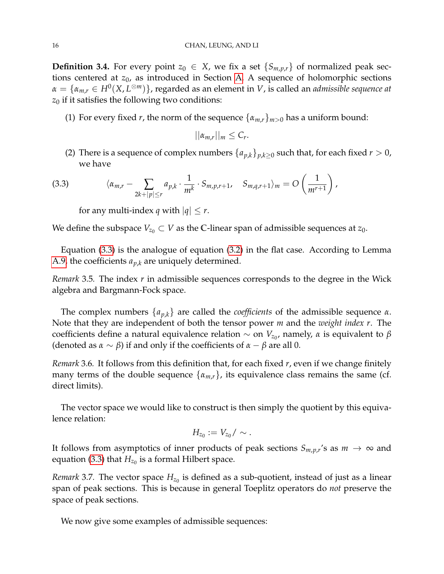<span id="page-15-0"></span>**Definition 3.4.** For every point  $z_0 \in X$ , we fix a set  $\{S_{m,p,r}\}$  of normalized peak sections centered at *z*<sub>0</sub>, as introduced in Section [A.](#page-21-0) A sequence of holomorphic sections *α* = {*αm*,*<sup>r</sup>* ∈ *H*<sup>0</sup> (*X*, *L* <sup>⊗</sup>*m*)}, regarded as an element in *V*, is called an *admissible sequence at*  $z_0$  if it satisfies the following two conditions:

(1) For every fixed *r*, the norm of the sequence  $\{\alpha_{m,r}\}_{m>0}$  has a uniform bound:

$$
||\alpha_{m,r}||_m\leq C_r.
$$

(2) There is a sequence of complex numbers  $\{a_{p,k}\}_{p,k\geq 0}$  such that, for each fixed  $r > 0$ , we have

(3.3) 
$$
\langle \alpha_{m,r} - \sum_{2k+|p| \leq r} a_{p,k} \cdot \frac{1}{m^k} \cdot S_{m,p,r+1}, \quad S_{m,q,r+1} \rangle_m = O\left(\frac{1}{m^{r+1}}\right),
$$

<span id="page-15-1"></span>for any multi-index *q* with  $|q| \leq r$ .

We define the subspace  $V_{z_0} \subset V$  as the C-linear span of admissible sequences at  $z_0$ .

Equation [\(3.3\)](#page-15-1) is the analogue of equation [\(3.2\)](#page-13-3) in the flat case. According to Lemma [A.9,](#page-24-0) the coefficients *ap*,*<sup>k</sup>* are uniquely determined.

*Remark* 3.5*.* The index *r* in admissible sequences corresponds to the degree in the Wick algebra and Bargmann-Fock space.

The complex numbers  $\{a_{p,k}\}\$  are called the *coefficients* of the admissible sequence  $\alpha$ . Note that they are independent of both the tensor power *m* and the *weight index r*. The coefficients define a natural equivalence relation  $\sim$  on  $V_{z_0}$ , namely,  $\alpha$  is equivalent to  $\beta$ (denoted as  $\alpha \sim \beta$ ) if and only if the coefficients of  $\alpha - \beta$  are all 0.

*Remark* 3.6*.* It follows from this definition that, for each fixed *r*, even if we change finitely many terms of the double sequence  $\{\alpha_{m,r}\}\$ , its equivalence class remains the same (cf. direct limits).

The vector space we would like to construct is then simply the quotient by this equivalence relation:

$$
H_{z_0}:=V_{z_0}/\sim.
$$

It follows from asymptotics of inner products of peak sections  $S_{m,p,r}$ 's as  $m \to \infty$  and equation [\(3.3\)](#page-15-1) that  $H_{z_0}$  is a formal Hilbert space.

*Remark* 3.7. The vector space  $H_{z_0}$  is defined as a sub-quotient, instead of just as a linear span of peak sections. This is because in general Toeplitz operators do *not* preserve the space of peak sections.

We now give some examples of admissible sequences: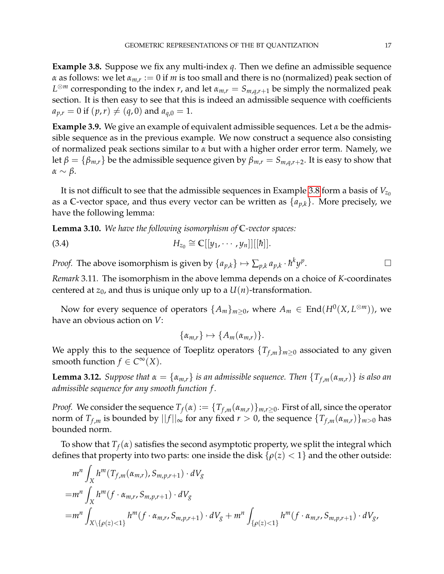<span id="page-16-0"></span>**Example 3.8.** Suppose we fix any multi-index *q*. Then we define an admissible sequence *α* as follows: we let *αm*,*<sup>r</sup>* := 0 if *m* is too small and there is no (normalized) peak section of *L*<sup>⊗*m*</sup> corresponding to the index *r*, and let  $α_{m,r} = S_{m,q,r+1}$  be simply the normalized peak section. It is then easy to see that this is indeed an admissible sequence with coefficients  $a_{p,r} = 0$  if  $(p,r) \neq (q, 0)$  and  $a_{q,0} = 1$ .

**Example 3.9.** We give an example of equivalent admissible sequences. Let *α* be the admissible sequence as in the previous example. We now construct a sequence also consisting of normalized peak sections similar to *α* but with a higher order error term. Namely, we let  $\beta = {\beta_{m,r}}$  be the admissible sequence given by  $\beta_{m,r} = S_{m,q,r+2}$ . It is easy to show that *α* ∼ *β*.

It is not difficult to see that the admissible sequences in Example [3.8](#page-16-0) form a basis of  $V_{z_0}$ as a C-vector space, and thus every vector can be written as  $\{a_{p,k}\}\$ . More precisely, we have the following lemma:

**Lemma 3.10.** *We have the following isomorphism of* **C***-vector spaces:*

(3.4) 
$$
H_{z_0} \cong \mathbb{C}[[y_1,\cdots,y_n]][[\hbar]].
$$

*Proof.* The above isomorphism is given by  $\{a_{p,k}\} \mapsto \sum_{p,k} a_{p,k} \cdot \hbar^k y^p$ .

*Remark* 3.11*.* The isomorphism in the above lemma depends on a choice of *K*-coordinates centered at  $z_0$ , and thus is unique only up to a  $U(n)$ -transformation.

Now for every sequence of operators  $\{A_m\}_{m\geq 0}$ , where  $A_m \in \text{End}(H^0(X, L^{\otimes m}))$ , we have an obvious action on *V*:

<span id="page-16-2"></span>
$$
\{\alpha_{m,r}\}\mapsto\{A_m(\alpha_{m,r})\}.
$$

We apply this to the sequence of Toeplitz operators  ${T_{f,m}}_{m\geq0}$  associated to any given smooth function  $f \in C^{\infty}(X)$ .

<span id="page-16-1"></span>**Lemma 3.12.** *Suppose that*  $\alpha = {\alpha_{m,r}}$  *is an admissible sequence. Then*  $\{T_{f,m}(\alpha_{m,r})\}$  *is also an admissible sequence for any smooth function f .*

*Proof.* We consider the sequence  $T_f(\alpha) := \{T_{f,m}(\alpha_{m,r})\}_{m,r\geq 0}$ . First of all, since the operator norm of  $T_{f,m}$  is bounded by  $||f||_{\infty}$  for any fixed  $r > 0$ , the sequence  $\{T_{f,m}(\alpha_{m,r})\}_{m>0}$  has bounded norm.

To show that *Tf*(*α*) satisfies the second asymptotic property, we split the integral which defines that property into two parts: one inside the disk  $\{\rho(z) < 1\}$  and the other outside:

$$
m^{n} \int_{X} h^{m}(T_{f,m}(\alpha_{m,r}), S_{m,p,r+1}) \cdot dV_{g}
$$
  
=
$$
m^{n} \int_{X} h^{m}(f \cdot \alpha_{m,r}, S_{m,p,r+1}) \cdot dV_{g}
$$
  
=
$$
m^{n} \int_{X \setminus \{\rho(z) < 1\}} h^{m}(f \cdot \alpha_{m,r}, S_{m,p,r+1}) \cdot dV_{g} + m^{n} \int_{\{\rho(z) < 1\}} h^{m}(f \cdot \alpha_{m,r}, S_{m,p,r+1}) \cdot dV_{g},
$$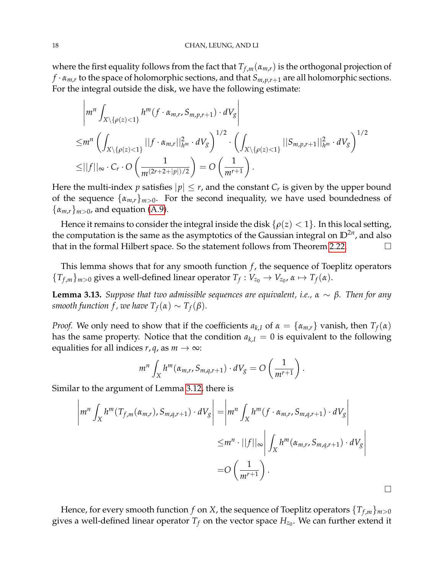where the first equality follows from the fact that  $T_{f,m}(\alpha_{m,r})$  is the orthogonal projection of *f* · *αm*,*<sup>r</sup>* to the space of holomorphic sections, and that *Sm*,*p*,*r*+<sup>1</sup> are all holomorphic sections. For the integral outside the disk, we have the following estimate:

$$
\left| m^{n} \int_{X \setminus \{\rho(z) < 1\}} h^{m}(f \cdot \alpha_{m,r}, S_{m,p,r+1}) \cdot dV_{g} \right|
$$
\n
$$
\leq m^{n} \left( \int_{X \setminus \{\rho(z) < 1\}} ||f \cdot \alpha_{m,r}||_{h^{m}}^{2} \cdot dV_{g} \right)^{1/2} \cdot \left( \int_{X \setminus \{\rho(z) < 1\}} ||S_{m,p,r+1}||_{h^{m}}^{2} \cdot dV_{g} \right)^{1/2}
$$
\n
$$
\leq ||f||_{\infty} \cdot C_{r} \cdot O \left( \frac{1}{m^{(2r+2+|p|)/2}} \right) = O \left( \frac{1}{m^{r+1}} \right).
$$

Here the multi-index  $p$  satisfies  $|p|\leq r$ , and the constant  $C_r$  is given by the upper bound of the sequence  $\{\alpha_{m,r}\}_{m>0}$ . For the second inequality, we have used boundedness of  $\{\alpha_{m,r}\}_{m>0}$ , and equation [\(A.9\)](#page-24-1).

Hence it remains to consider the integral inside the disk  $\{\rho(z) < 1\}$ . In this local setting, the computation is the same as the asymptotics of the Gaussian integral on  $\mathbb{D}^{2n}$ , and also that in the formal Hilbert space. So the statement follows from Theorem [2.22.](#page-12-1)

This lemma shows that for any smooth function *f*, the sequence of Toeplitz operators  ${T_{f,m}}_{m>0}$  gives a well-defined linear operator  ${T_f}: V_{z_0} \to V_{z_0}$ ,  $\alpha \mapsto T_f(\alpha)$ .

**Lemma 3.13.** *Suppose that two admissible sequences are equivalent, i.e.,*  $α ∼ β$ *. Then for any smooth function f, we have*  $T_f(\alpha) \sim T_f(\beta)$ *.* 

*Proof.* We only need to show that if the coefficients  $a_{k,I}$  of  $\alpha = {\alpha_{m,r}}$  vanish, then  $T_f(\alpha)$ has the same property. Notice that the condition  $a_{k,I} = 0$  is equivalent to the following equalities for all indices  $r, q$ , as  $m \rightarrow \infty$ :

$$
m^{n}\int_{X}h^{m}(\alpha_{m,r},S_{m,q,r+1})\cdot dV_{g}=O\left(\frac{1}{m^{r+1}}\right).
$$

Similar to the argument of Lemma [3.12,](#page-16-1) there is

$$
\left| m^n \int_X h^m(T_{f,m}(\alpha_{m,r}), S_{m,q,r+1}) \cdot dV_g \right| = \left| m^n \int_X h^m(f \cdot \alpha_{m,r}, S_{m,q,r+1}) \cdot dV_g \right|
$$
  

$$
\leq m^n \cdot ||f||_{\infty} \left| \int_X h^m(\alpha_{m,r}, S_{m,q,r+1}) \cdot dV_g \right|
$$
  

$$
= O\left(\frac{1}{m^{r+1}}\right).
$$

 $\Box$ 

Hence, for every smooth function *f* on *X*, the sequence of Toeplitz operators  ${T_{f,m}}_{m>0}$ gives a well-defined linear operator  $T_f$  on the vector space  $H_{z_0}.$  We can further extend it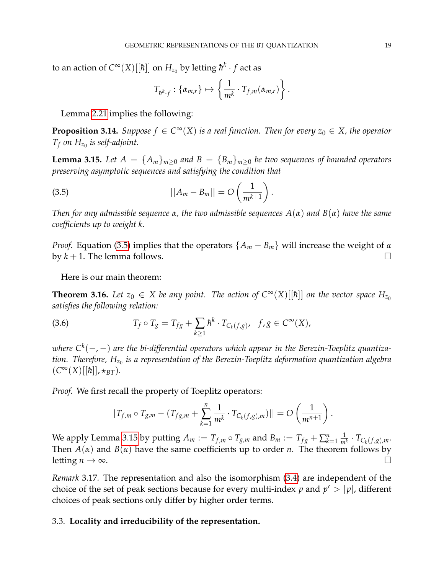to an action of  $C^\infty(X)[[\hbar]]$  on  $H_{z_0}$  by letting  $\hbar^k\cdot f$  act as

<span id="page-18-3"></span>
$$
T_{\hbar^k \cdot f}: \{\alpha_{m,r}\} \mapsto \left\{\frac{1}{m^k} \cdot T_{f,m}(\alpha_{m,r})\right\}.
$$

Lemma [2.21](#page-11-1) implies the following:

<span id="page-18-1"></span>**Proposition 3.14.** *Suppose*  $f \in C^{\infty}(X)$  *is a real function. Then for every*  $z_0 \in X$ *, the operator*  $T_f$  *on*  $H_{z_0}$  *is self-adjoint.* 

<span id="page-18-4"></span>**Lemma 3.15.** Let  $A = \{A_m\}_{m>0}$  and  $B = \{B_m\}_{m\geq0}$  be two sequences of bounded operators *preserving asymptotic sequences and satisfying the condition that*

(3.5) 
$$
||A_m - B_m|| = O\left(\frac{1}{m^{k+1}}\right).
$$

*Then for any admissible sequence α, the two admissible sequences A*(*α*) *and B*(*α*) *have the same coefficients up to weight k.*

*Proof.* Equation [\(3.5\)](#page-18-3) implies that the operators  ${A_m - B_m}$  will increase the weight of *α* by  $k + 1$ . The lemma follows.

Here is our main theorem:

<span id="page-18-0"></span>**Theorem 3.16.** *Let*  $z_0 \in X$  *be any point. The action of*  $C^{\infty}(X)[\hbar]]$  *on the vector space*  $H_{z_0}$ *satisfies the following relation:*

(3.6) 
$$
T_f \circ T_g = T_{fg} + \sum_{k \ge 1} \hbar^k \cdot T_{C_k(f,g)}, \quad f, g \in C^{\infty}(X),
$$

*where C<sup>k</sup>* (−, −) *are the bi-differential operators which appear in the Berezin-Toeplitz quantization. Therefore, Hz*<sup>0</sup> *is a representation of the Berezin-Toeplitz deformation quantization algebra*  $(C^{\infty}(X)[[\hbar]], \star_{BT})$ .

*Proof.* We first recall the property of Toeplitz operators:

$$
||T_{f,m} \circ T_{g,m} - (T_{fg,m} + \sum_{k=1}^{n} \frac{1}{m^k} \cdot T_{C_k(f,g),m})|| = O\left(\frac{1}{m^{n+1}}\right).
$$

We apply Lemma [3.15](#page-18-4) by putting  $A_m := T_{f,m} \circ T_{g,m}$  and  $B_m := T_{fg} + \sum_{k=1}^n \frac{1}{m}$  $\frac{1}{m^k} \cdot T_{C_k(f,g),m}$ . Then *A*(*α*) and *B*(*α*) have the same coefficients up to order *n*. The theorem follows by letting  $n \to \infty$ .

*Remark* 3.17*.* The representation and also the isomorphism [\(3.4\)](#page-16-2) are independent of the choice of the set of peak sections because for every multi-index  $p$  and  $p' > |p|$ , different choices of peak sections only differ by higher order terms.

## <span id="page-18-2"></span>3.3. **Locality and irreducibility of the representation.**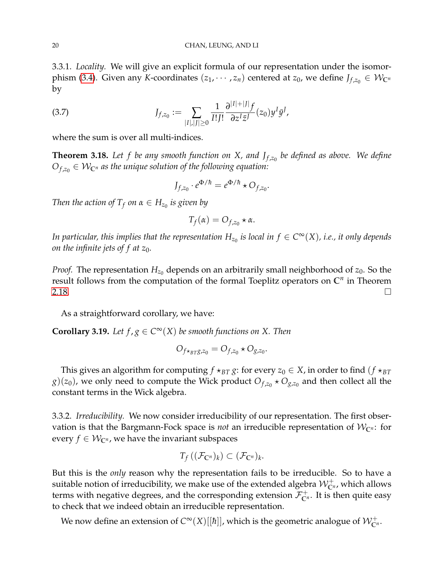3.3.1. *Locality.* We will give an explicit formula of our representation under the isomor-phism [\(3.4\)](#page-16-2). Given any *K*-coordinates  $(z_1, \dots, z_n)$  centered at  $z_0$ , we define  $J_{f,z_0} \in \mathcal{W}_{\mathbb{C}^n}$ by

(3.7) 
$$
J_{f,z_0} := \sum_{|I|,|J| \geq 0} \frac{1}{I!J!} \frac{\partial^{|I|+|J|} f}{\partial z^I \bar{z}^J} (z_0) y^I \bar{y}^J,
$$

where the sum is over all multi-indices.

<span id="page-19-0"></span>**Theorem 3.18.** *Let f be any smooth function on X, and J<sup>f</sup>* ,*z*<sup>0</sup> *be defined as above. We define*  $O_{f,z_0} \in \mathcal{W}_{\mathbb{C}^n}$  *as the unique solution of the following equation:* 

$$
J_{f,z_0} \cdot e^{\Phi/\hbar} = e^{\Phi/\hbar} \star O_{f,z_0}.
$$

*Then the action of*  $T_f$  *on*  $\alpha \in H_{z_0}$  *is given by* 

$$
T_f(\alpha) = O_{f,z_0} \star \alpha.
$$

In particular, this implies that the representation  $H_{z_0}$  is local in  $f\in C^\infty(X)$ , i.e., it only depends *on the infinite jets of f at*  $z_0$ *.* 

*Proof.* The representation  $H_{z_0}$  depends on an arbitrarily small neighborhood of  $z_0$ . So the result follows from the computation of the formal Toeplitz operators on **C***<sup>n</sup>* in Theorem  $2.18.$ 

As a straightforward corollary, we have:

**Corollary 3.19.** Let  $f, g \in C^\infty(X)$  be smooth functions on X. Then

$$
O_{f\star_{BT}g,z_0}=O_{f,z_0}\star O_{g,z_0}.
$$

This gives an algorithm for computing  $f \star_{BT} g$ : for every  $z_0 \in X$ , in order to find  $(f \star_{BT}$  $g$ )( $z_0$ ), we only need to compute the Wick product  $O_{f,z_0}$   $\star$   $O_{g,z_0}$  and then collect all the constant terms in the Wick algebra.

3.3.2. *Irreducibility.* We now consider irreducibility of our representation. The first observation is that the Bargmann-Fock space is *not* an irreducible representation of  $W_{\mathbb{C}^{n}}$ : for every  $f \in \mathcal{W}_{\mathbb{C}^n}$ , we have the invariant subspaces

$$
T_f((\mathcal{F}_{\mathbb{C}^n})_k) \subset (\mathcal{F}_{\mathbb{C}^n})_k.
$$

But this is the *only* reason why the representation fails to be irreducible. So to have a suitable notion of irreducibility, we make use of the extended algebra  $\mathcal{W}_{\mathbb{C}^n}^+$ , which allows terms with negative degrees, and the corresponding extension  $\mathcal{F}_{\mathbb{C}^n}^+$ . It is then quite easy to check that we indeed obtain an irreducible representation.

We now define an extension of  $C^\infty(X)[[\hbar]]$ , which is the geometric analogue of  $\mathcal{W}_{\mathbb{C}^n}^+$ .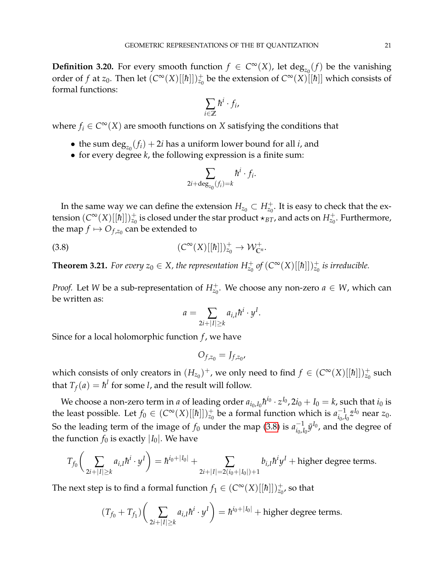**Definition 3.20.** For every smooth function  $f \in C^{\infty}(X)$ , let  $\text{deg}_{z_0}(f)$  be the vanishing order of *f* at *z*<sub>0</sub>. Then let  $(C^{\infty}(X)[[\hbar]])_{z_0}^+$  be the extension of  $C^{\infty}(X)[[\hbar]]$  which consists of formal functions:

$$
\sum_{i\in\mathbb{Z}}\hbar^i\cdot f_i,
$$

where  $f_i \in C^{\infty}(X)$  are smooth functions on *X* satisfying the conditions that

- the sum  $\deg_{z_0}(f_i) + 2i$  has a uniform lower bound for all *i*, and
- for every degree *k*, the following expression is a finite sum:

$$
\sum_{2i+\deg_{z_0}(f_i)=k} \hbar^i \cdot f_i.
$$

In the same way we can define the extension  $H_{z_0} \subset H_{z_0}^+$ . It is easy to check that the extension  $(C^{\infty}(X)[[\hbar]])_{z_0}^+$  is closed under the star product  $\star_{BT}$ , and acts on  $H^+_{z_0}$ . Furthermore, the map  $f \mapsto O_{f,z_0}$  can be extended to

(3.8) 
$$
(C^{\infty}(X)[[\hbar]])_{z_0}^+ \to \mathcal{W}_{\mathbb{C}^n}^+.
$$

<span id="page-20-0"></span>**Theorem 3.21.** For every  $z_0 \in X$ , the representation  $H_{z_0}^+$  of  $(C^{\infty}(X)[[\hbar]])_{z_0}^+$  is irreducible.

*Proof.* Let *W* be a sub-representation of  $H_{z_0}^+$ . We choose any non-zero  $a \in W$ , which can be written as:

<span id="page-20-1"></span>
$$
a=\sum_{2i+|I|\geq k}a_{i,I}\hbar^i\cdot y^I.
$$

Since for a local holomorphic function *f* , we have

$$
O_{f,z_0}=J_{f,z_0},
$$

which consists of only creators in  $(H_{z_0})^+$ , we only need to find  $f \in (C^{\infty}(X)[[\hbar]])_{z_0}^+$  such that  $T_f(a) = \hbar^l$  for some *l*, and the result will follow.

We choose a non-zero term in *a* of leading order  $a_{i_0, I_0} \hbar^{i_0} \cdot z^{I_0}$ ,  $2i_0 + I_0 = k$ , such that  $i_0$  is the least possible. Let  $f_0 \in (C^\infty(X)[[\hbar]])_{z_0}^+$  be a formal function which is  $a_{i_0,l}^{-1}$  $\frac{-1}{i_0, I_0} \bar{z}^{I_0}$  near  $z_0$ . So the leading term of the image of  $f_0$  under the map [\(3.8\)](#page-20-1) is  $a_{i_0,l}^{-1}$  $\bar{y}_{i_0,I_0}^{-1}\bar{y}^{I_0}$ , and the degree of the function  $f_0$  is exactly  $|I_0|$ . We have

$$
T_{f_0}\bigg(\sum_{2i+|I|\geq k}a_{i,I}\hbar^i\cdot y^I\bigg)=\hbar^{i_0+|I_0|}+\sum_{2i+|I|=2(i_0+|I_0|)+1}b_{i,I}\hbar^iy^I+\text{higher degree terms}.
$$

The next step is to find a formal function  $f_1 \in (C^\infty(X)[[\hbar]])_{z_0}^{\perp}$ , so that

$$
(T_{f_0} + T_{f_1}) \bigg( \sum_{2i+|I| \ge k} a_{i,I} \hbar^i \cdot y^I \bigg) = \hbar^{i_0+|I_0|} + \text{higher degree terms}.
$$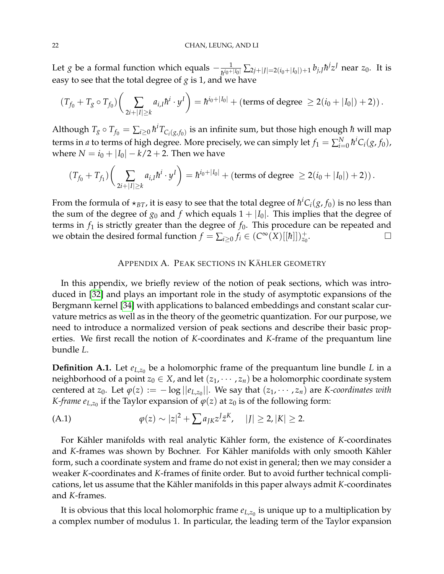Let *g* be a formal function which equals  $-\frac{1}{h^{i_0+|I_0|}}\sum_{2j+|J|=2(i_0+|I_0|)+1} b_{j,J}h^jz^J$  near  $z_0$ . It is easy to see that the total degree of  $g$  is 1, and we have

$$
(T_{f_0} + T_g \circ T_{f_0}) \left( \sum_{2i + |I| \ge k} a_{i,I} \hbar^i \cdot y^I \right) = \hbar^{i_0 + |I_0|} + (\text{terms of degree } \ge 2(i_0 + |I_0|) + 2)).
$$

Although  $T_g \circ T_{f_0} = \sum_{i \geq 0} \hbar^i T_{C_i(g,f_0)}$  is an infinite sum, but those high enough  $\hbar$  will map terms in *a* to terms of high degree. More precisely, we can simply let  $f_1 = \sum_{i=0}^N \hbar^i C_i(g, f_0)$ , where  $N = i_0 + |I_0| - k/2 + 2$ . Then we have

$$
(T_{f_0}+T_{f_1})\bigg(\sum_{2i+|I|\geq k}a_{i,I}\hbar^i\cdot y^I\bigg)=\hbar^{i_0+|I_0|}+(\text{terms of degree }\geq 2(i_0+|I_0|)+2)).
$$

From the formula of  $\star_{BT}$ , it is easy to see that the total degree of  $\hbar^iC_i(g,f_0)$  is no less than the sum of the degree of  $g_0$  and  $f$  which equals  $1 + |I_0|$ . This implies that the degree of terms in  $f_1$  is strictly greater than the degree of  $f_0$ . This procedure can be repeated and we obtain the desired formal function  $f = \sum_{i \geq 0} f_i \in (C^\infty(X)[[\hbar]])_{z_0}^+$ .

## APPENDIX A. PEAK SECTIONS IN KÄHLER GEOMETRY

<span id="page-21-0"></span>In this appendix, we briefly review of the notion of peak sections, which was introduced in [\[32\]](#page-26-10) and plays an important role in the study of asymptotic expansions of the Bergmann kernel [\[34\]](#page-27-0) with applications to balanced embeddings and constant scalar curvature metrics as well as in the theory of the geometric quantization. For our purpose, we need to introduce a normalized version of peak sections and describe their basic properties. We first recall the notion of *K*-coordinates and *K*-frame of the prequantum line bundle *L*.

**Definition A.1.** Let  $e_{L,z_0}$  be a holomorphic frame of the prequantum line bundle *L* in a neighborhood of a point  $z_0 \in X$ , and let  $(z_1, \dots, z_n)$  be a holomorphic coordinate system centered at *z*<sub>0</sub>. Let  $\varphi(z) := -\log ||e_{L,z_0}||$ . We say that  $(z_1, \dots, z_n)$  are *K-coordinates with K-frame*  $e_{L,z_0}$  if the Taylor expansion of  $\varphi(z)$  at  $z_0$  is of the following form:

<span id="page-21-1"></span>(A.1) 
$$
\varphi(z) \sim |z|^2 + \sum a_{JK} z^J \bar{z}^K, \quad |J| \ge 2, |K| \ge 2.
$$

For Kähler manifolds with real analytic Kähler form, the existence of *K*-coordinates and *K*-frames was shown by Bochner. For Kähler manifolds with only smooth Kähler form, such a coordinate system and frame do not exist in general; then we may consider a weaker *K*-coordinates and *K*-frames of finite order. But to avoid further technical complications, let us assume that the Kähler manifolds in this paper always admit *K*-coordinates and *K*-frames.

It is obvious that this local holomorphic frame  $e_{L,z_0}$  is unique up to a multiplication by a complex number of modulus 1. In particular, the leading term of the Taylor expansion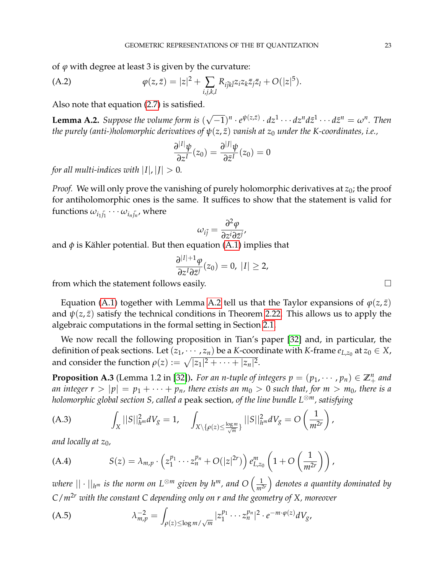of *ϕ* with degree at least 3 is given by the curvature:

(A.2) 
$$
\varphi(z,\bar{z}) = |z|^2 + \sum_{i,j,k,l} R_{i\bar{j}k\bar{l}} z_i z_k \bar{z}_j \bar{z}_l + O(|z|^5).
$$

Also note that equation [\(2.7\)](#page-12-2) is satisfied.

<span id="page-22-0"></span>**Lemma A.2.** *Suppose the volume form is* ( √  $\overline{-1})^n \cdot e^{\psi(z,\bar{z})} \cdot dz^1 \cdot \cdot \cdot dz^n d\bar{z}^1 \cdot \cdot \cdot d\bar{z}^n = \omega^n$ . Then *the purely (anti-)holomorphic derivatives of*  $\psi(z, \bar{z})$  *vanish at*  $z_0$  *under the K-coordinates, i.e.,* 

$$
\frac{\partial^{|I|}\psi}{\partial z^I}(z_0) = \frac{\partial^{|J|}\psi}{\partial \bar{z}^I}(z_0) = 0
$$

*for all multi-indices with*  $|I|, |J| > 0$ *.* 

*Proof.* We will only prove the vanishing of purely holomorphic derivatives at  $z_0$ ; the proof for antiholomorphic ones is the same. It suffices to show that the statement is valid for  $\epsilon$  functions  $\omega_{i_1\overline{j_1}}\cdots\omega_{i_n\overline{j_n}}$ , where

$$
\omega_{i\bar{j}} = \frac{\partial^2 \varphi}{\partial z^i \partial \bar{z}^j},
$$

and  $\phi$  is Kähler potential. But then equation [\(A.1\)](#page-21-1) implies that

$$
\frac{\partial^{|I|+1}\varphi}{\partial z^I \partial \bar{z}^j}(z_0)=0, |I|\geq 2,
$$

from which the statement follows easily.

Equation [\(A.1\)](#page-21-1) together with Lemma [A.2](#page-22-0) tell us that the Taylor expansions of  $\varphi(z,\bar{z})$ and  $\psi(z, \bar{z})$  satisfy the technical conditions in Theorem [2.22.](#page-12-1) This allows us to apply the algebraic computations in the formal setting in Section [2.1.](#page-6-1)

We now recall the following proposition in Tian's paper [\[32\]](#page-26-10) and, in particular, the definition of peak sections. Let  $(z_1, \dots, z_n)$  be a *K*-coordinate with *K*-frame  $e_{L,z_0}$  at  $z_0 \in X$ , and consider the function  $\rho(z) := \sqrt{|z_1|^2 + \cdots + |z_n|^2}.$ 

<span id="page-22-1"></span>**Proposition A.3** (Lemma 1.2 in [\[32\]](#page-26-10)). *For an n-tuple of integers*  $p = (p_1, \dots, p_n) \in \mathbb{Z}_+^n$  *and an integer*  $r > |p| = p_1 + \cdots + p_n$ *, there exists an*  $m_0 > 0$  *such that, for*  $m > m_0$ *, there is a holomorphic global section S, called a* peak section*, of the line bundle L*⊗*m, satisfying*

(A.3) 
$$
\int_X ||S||_{h^m}^2 dV_g = 1, \quad \int_{X \setminus {\{\rho(z) \leq \frac{\log m}{\sqrt{m}}\}}} ||S||_{h^m}^2 dV_g = O\left(\frac{1}{m^{2r}}\right),
$$

*and locally at z*0*,*

(A.4) 
$$
S(z) = \lambda_{m,p} \cdot \left( z_1^{p_1} \cdots z_n^{p_n} + O(|z|^{2r}) \right) e_{L,z_0}^m \left( 1 + O\left( \frac{1}{m^{2r}} \right) \right),
$$

 $\omega$ here  $||\cdot||_{h^m}$  is the norm on  $L^{\otimes m}$  given by  $h^m$ , and  $O\left(\frac{1}{m^2}\right)$ *m*2*<sup>r</sup> denotes a quantity dominated by C*/*m*2*<sup>r</sup> with the constant C depending only on r and the geometry of X, moreover*

(A.5) 
$$
\lambda_{m,p}^{-2} = \int_{\rho(z) \le \log m/\sqrt{m}} |z_1^{p_1} \cdots z_n^{p_n}|^2 \cdot e^{-m \cdot \varphi(z)} dV_g,
$$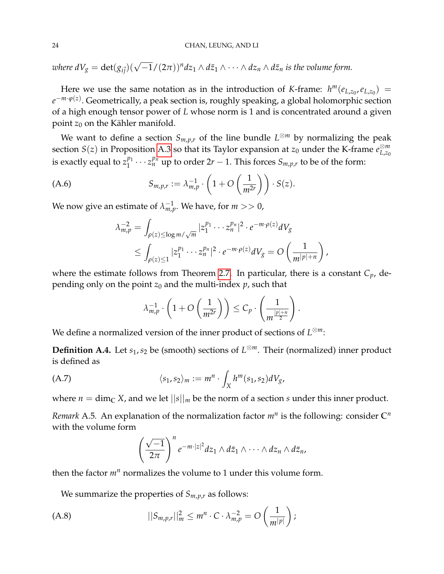$\omega$ here d $V_g = \det(g_{i\bar j}) (\sqrt{-1}/(2\pi))^n$ d $z_1 \wedge d\bar z_1 \wedge \cdots \wedge d z_n \wedge d\bar z_n$  is the volume form.

Here we use the same notation as in the introduction of *K*-frame:  $h^m(e_{L,z_0}, e_{L,z_0})$  = *e* −*m*·*ϕ*(*z*) . Geometrically, a peak section is, roughly speaking, a global holomorphic section of a high enough tensor power of *L* whose norm is 1 and is concentrated around a given point  $z_0$  on the Kähler manifold.

We want to define a section  $S_{m,p,r}$  of the line bundle  $L^{\otimes m}$  by normalizing the peak section *S*(*z*) in Proposition [A.3](#page-22-1) so that its Taylor expansion at *z*<sup>0</sup> under the K-frame *e* ⊗*m L*,*z*<sup>0</sup> is exactly equal to  $z_1^{p_1}$  $\frac{p_1}{1} \cdots z_n^{p_n}$  up to order  $2r - 1$ . This forces  $S_{m,p,r}$  to be of the form:

$$
\text{(A.6)} \hspace{1cm} S_{m,p,r} := \lambda_{m,p}^{-1} \cdot \left( 1 + O\left(\frac{1}{m^{2r}}\right) \right) \cdot S(z).
$$

We now give an estimate of  $\lambda_{m,p}^{-1}$ . We have, for  $m >> 0$ ,

<span id="page-23-0"></span>
$$
\lambda_{m,p}^{-2} = \int_{\rho(z) \le \log m/\sqrt{m}} |z_1^{p_1} \cdots z_n^{p_n}|^2 \cdot e^{-m \cdot \rho(z)} dV_g
$$
  
 
$$
\le \int_{\rho(z) \le 1} |z_1^{p_1} \cdots z_n^{p_n}|^2 \cdot e^{-m \cdot \rho(z)} dV_g = O\left(\frac{1}{m^{|p|+n}}\right),
$$

where the estimate follows from Theorem [2.7.](#page-6-0) In particular, there is a constant *Cp*, depending only on the point  $z_0$  and the multi-index  $p$ , such that

$$
\lambda_{m,p}^{-1} \cdot \left(1 + O\left(\frac{1}{m^{2r}}\right)\right) \leq C_p \cdot \left(\frac{1}{m^{\frac{|p|+n}{2}}}\right).
$$

We define a normalized version of the inner product of sections of *L* <sup>⊗</sup>*m*:

**Definition A.4.** Let *s*1,*s*<sup>2</sup> be (smooth) sections of *L* <sup>⊗</sup>*m*. Their (normalized) inner product is defined as

$$
\langle s_1, s_2 \rangle_m := m^n \cdot \int_X h^m(s_1, s_2) dV_g,
$$

where  $n = \dim_{\mathbb{C}} X$ , and we let  $||s||_m$  be the norm of a section *s* under this inner product.

*Remark* A.5*.* An explanation of the normalization factor *m<sup>n</sup>* is the following: consider **C***<sup>n</sup>* with the volume form

<span id="page-23-1"></span>
$$
\left(\frac{\sqrt{-1}}{2\pi}\right)^n e^{-m\cdot|z|^2}dz_1\wedge d\bar{z}_1\wedge\cdots\wedge dz_n\wedge d\bar{z}_n,
$$

then the factor  $m<sup>n</sup>$  normalizes the volume to 1 under this volume form.

We summarize the properties of  $S_{m,p,r}$  as follows:

$$
||S_{m,p,r}||_m^2 \leq m^n \cdot C \cdot \lambda_{m,p}^{-2} = O\left(\frac{1}{m^{|p|}}\right);
$$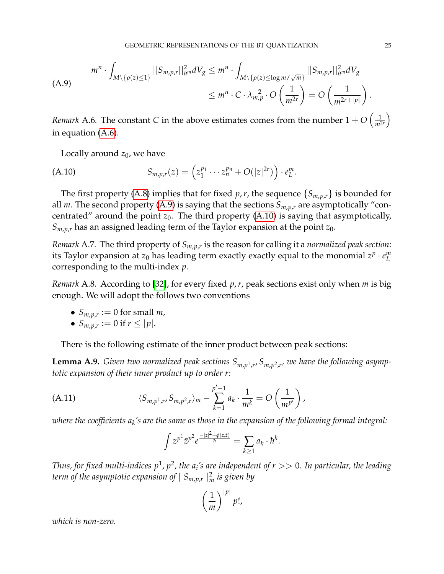<span id="page-24-1"></span>
$$
m^{n} \cdot \int_{M \setminus \{\rho(z) \le 1\}} ||S_{m,p,r}||_{h^{m}}^{2} dV_{g} \le m^{n} \cdot \int_{M \setminus \{\rho(z) \le \log m/\sqrt{m}\}} ||S_{m,p,r}||_{h^{m}}^{2} dV_{g}
$$
\n
$$
\le m^{n} \cdot C \cdot \lambda_{m,p}^{-2} \cdot O\left(\frac{1}{m^{2r}}\right) = O\left(\frac{1}{m^{2r+|p|}}\right)
$$

*Remark* A.6. The constant *C* in the above estimates comes from the number  $1 + O\left(\frac{1}{m^2}\right)$ *m*2*<sup>r</sup>*  $\setminus$ in equation [\(A.6\)](#page-23-0).

<span id="page-24-2"></span>Locally around  $z_0$ , we have

(A.10) 
$$
S_{m,p,r}(z) = \left(z_1^{p_1} \cdots z_n^{p_n} + O(|z|^{2r})\right) \cdot e_L^m.
$$

The first property [\(A.8\)](#page-23-1) implies that for fixed *p*, *r*, the sequence  $\{S_{m,p,r}\}\$ is bounded for all *m*. The second property [\(A.9\)](#page-24-1) is saying that the sections *Sm*,*p*,*<sup>r</sup>* are asymptotically "concentrated" around the point  $z_0$ . The third property [\(A.10\)](#page-24-2) is saying that asymptotically,  $S_{m,p,r}$  has an assigned leading term of the Taylor expansion at the point  $z_0$ .

*Remark* A.7*.* The third property of *Sm*,*p*,*<sup>r</sup>* is the reason for calling it a *normalized peak section*: its Taylor expansion at  $z_0$  has leading term exactly exactly equal to the monomial  $z^p \cdot e_L^m$ *L* corresponding to the multi-index *p*.

*Remark* A.8*.* According to [\[32\]](#page-26-10), for every fixed *p*,*r*, peak sections exist only when *m* is big enough. We will adopt the follows two conventions

- $S_{m,p,r} := 0$  for small *m*,
- $S_{m,p,r} := 0$  if  $r \le |p|$ .

There is the following estimate of the inner product between peak sections:

<span id="page-24-0"></span>**Lemma A.9.** *Given two normalized peak sections Sm*,*<sup>p</sup>* 1,*r* , *Sm*,*<sup>p</sup>* 2,*r , we have the following asymptotic expansion of their inner product up to order r:*

(A.11) 
$$
\langle S_{m,p^1,r}, S_{m,p^2,r} \rangle_m - \sum_{k=1}^{p'-1} a_k \cdot \frac{1}{m^k} = O\left(\frac{1}{m^{p'}}\right),
$$

*where the coefficients a<sup>k</sup> 's are the same as those in the expansion of the following formal integral:*

<span id="page-24-3"></span>
$$
\int z^{p^1} \overline{z}^{p^2} e^{\frac{-|z|^2 + \phi(z,\overline{z})}{\hbar}} = \sum_{k \ge 1} a_k \cdot \hbar^k.
$$

Thus, for fixed multi-indices  $p^1$ ,  $p^2$ , the a<sub>i</sub>'s are independent of  $r >> 0$ . In particular, the leading *term of the asymptotic expansion of* ||*Sm*,*p*,*<sup>r</sup>* ||2 *<sup>m</sup> is given by*

$$
\left(\frac{1}{m}\right)^{|p|}p!,
$$

*which is non-zero.*

.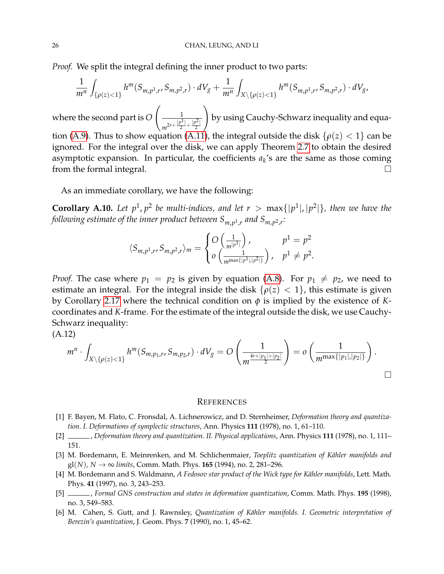*Proof.* We split the integral defining the inner product to two parts:

$$
\frac{1}{m^n}\int_{\{\rho(z)<1\}} h^m(S_{m,p^1,r},S_{m,p^2,r})\cdot dV_g + \frac{1}{m^n}\int_{X\setminus\{\rho(z)<1\}} h^m(S_{m,p^1,r},S_{m,p^2,r})\cdot dV_g,
$$

where the second part is *O*  $\begin{array}{c} \boxed{1} \end{array}$  $m^{2r+\frac{|p^1|}{2}}$  $\frac{p^1}{2} + \frac{|p^2|}{2}$ 2  $\setminus$ by using Cauchy-Schwarz inequality and equa-tion [\(A.9\)](#page-24-1). Thus to show equation [\(A.11\)](#page-24-3), the integral outside the disk  $\{\rho(z) < 1\}$  can be ignored. For the integral over the disk, we can apply Theorem [2.7](#page-6-0) to obtain the desired asymptotic expansion. In particular, the coefficients  $a_k$ 's are the same as those coming from the formal integral.

As an immediate corollary, we have the following:

**Corollary A.10.** Let  $p^1$ ,  $p^2$  be multi-indices, and let  $r > \max\{|p^1|, |p^2|\}$ , then we have the following estimate of the inner product between  $S_{m,p^1,r}$  and  $S_{m,p^2,r}$ :

$$
\langle S_{m,p^1,r}, S_{m,p^2,r} \rangle_m = \begin{cases} O\left(\frac{1}{m^{|p^1|}}\right), & p^1 = p^2 \\ o\left(\frac{1}{m^{\max\{|p^1|,|p^2|\}}}\right), & p^1 \neq p^2. \end{cases}
$$

*Proof.* The case where  $p_1 = p_2$  is given by equation [\(A.8\)](#page-23-1). For  $p_1 \neq p_2$ , we need to estimate an integral. For the integral inside the disk  $\{\rho(z) < 1\}$ , this estimate is given by Corollary [2.17](#page-8-2) where the technical condition on *φ* is implied by the existence of *K*coordinates and *K*-frame. For the estimate of the integral outside the disk, we use Cauchy-Schwarz inequality:

(A.12)

$$
m^{n} \cdot \int_{X \setminus \{\rho(z) < 1\}} h^{m}(S_{m,p_{1},r},S_{m,p_{2},r}) \cdot dV_{g} = O\left(\frac{1}{m^{\frac{4r+|p_{1}|+|p_{2}|}{2}}}\right) = o\left(\frac{1}{m^{\max\{|p_{1}|,|p_{2}|\}}}\right).
$$

#### **REFERENCES**

- <span id="page-25-0"></span>[1] F. Bayen, M. Flato, C. Fronsdal, A. Lichnerowicz, and D. Sternheimer, *Deformation theory and quantization. I. Deformations of symplectic structures*, Ann. Physics **111** (1978), no. 1, 61–110.
- [2] , *Deformation theory and quantization. II. Physical applications*, Ann. Physics **111** (1978), no. 1, 111– 151.
- <span id="page-25-1"></span>[3] M. Bordemann, E. Meinrenken, and M. Schlichenmaier, *Toeplitz quantization of Kähler manifolds and* gl(*N*)*, N* → ∞ *limits*, Comm. Math. Phys. **165** (1994), no. 2, 281–296.
- <span id="page-25-3"></span>[4] M. Bordemann and S. Waldmann, *A Fedosov star product of the Wick type for Kähler manifolds*, Lett. Math. Phys. **41** (1997), no. 3, 243–253.
- <span id="page-25-2"></span>[5] , *Formal GNS construction and states in deformation quantization*, Comm. Math. Phys. **195** (1998), no. 3, 549–583.
- [6] M. Cahen, S. Gutt, and J. Rawnsley, *Quantization of Kähler manifolds. I. Geometric interpretation of Berezin's quantization*, J. Geom. Phys. **7** (1990), no. 1, 45–62.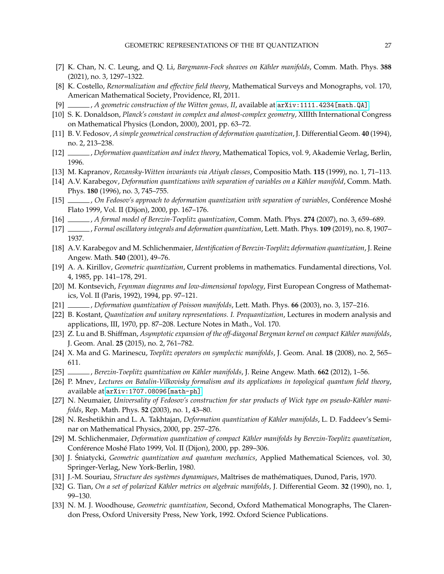- <span id="page-26-13"></span>[7] K. Chan, N. C. Leung, and Q. Li, *Bargmann-Fock sheaves on Kähler manifolds*, Comm. Math. Phys. 388 (2021), no. 3, 1297–1322.
- <span id="page-26-15"></span>[8] K. Costello, *Renormalization and effective field theory*, Mathematical Surveys and Monographs, vol. 170, American Mathematical Society, Providence, RI, 2011.
- [9] , *A geometric construction of the Witten genus, II*, available at [arXiv:1111.4234\[math.QA\]](arXiv:1111.4234 [math.QA]).
- [10] S. K. Donaldson, *Planck's constant in complex and almost-complex geometry*, XIIIth International Congress on Mathematical Physics (London, 2000), 2001, pp. 63–72.
- <span id="page-26-0"></span>[11] B. V. Fedosov, *A simple geometrical construction of deformation quantization*, J. Differential Geom. **40** (1994), no. 2, 213–238.
- [12] , *Deformation quantization and index theory*, Mathematical Topics, vol. 9, Akademie Verlag, Berlin, 1996.
- [13] M. Kapranov, *Rozansky-Witten invariants via Atiyah classes*, Compositio Math. **115** (1999), no. 1, 71–113.
- [14] A.V. Karabegov, *Deformation quantizations with separation of variables on a Kähler manifold*, Comm. Math. Phys. **180** (1996), no. 3, 745–755.
- [15] , *On Fedosov's approach to deformation quantization with separation of variables*, Conférence Moshé Flato 1999, Vol. II (Dijon), 2000, pp. 167–176.
- [16] , *A formal model of Berezin-Toeplitz quantization*, Comm. Math. Phys. **274** (2007), no. 3, 659–689.
- <span id="page-26-11"></span>[17] , *Formal oscillatory integrals and deformation quantization*, Lett. Math. Phys. **109** (2019), no. 8, 1907– 1937.
- <span id="page-26-8"></span>[18] A.V. Karabegov and M. Schlichenmaier, *Identification of Berezin-Toeplitz deformation quantization*, J. Reine Angew. Math. **540** (2001), 49–76.
- <span id="page-26-3"></span>[19] A. A. Kirillov, *Geometric quantization*, Current problems in mathematics. Fundamental directions, Vol. 4, 1985, pp. 141–178, 291.
- [20] M. Kontsevich, *Feynman diagrams and low-dimensional topology*, First European Congress of Mathematics, Vol. II (Paris, 1992), 1994, pp. 97–121.
- <span id="page-26-1"></span>[21] , *Deformation quantization of Poisson manifolds*, Lett. Math. Phys. **66** (2003), no. 3, 157–216.
- <span id="page-26-4"></span>[22] B. Kostant, *Quantization and unitary representations. I. Prequantization*, Lectures in modern analysis and applications, III, 1970, pp. 87–208. Lecture Notes in Math., Vol. 170.
- [23] Z. Lu and B. Shiffman, *Asymptotic expansion of the off-diagonal Bergman kernel on compact Kähler manifolds*, J. Geom. Anal. **25** (2015), no. 2, 761–782.
- [24] X. Ma and G. Marinescu, *Toeplitz operators on symplectic manifolds*, J. Geom. Anal. **18** (2008), no. 2, 565– 611.
- <span id="page-26-2"></span>[25] , *Berezin-Toeplitz quantization on K¨ahler manifolds*, J. Reine Angew. Math. **662** (2012), 1–56.
- <span id="page-26-14"></span>[26] P. Mnev, *Lectures on Batalin-Vilkovisky formalism and its applications in topological quantum field theory*, available at [arXiv:1707.08096\[math-ph\]](arXiv:1707.08096 [math-ph]).
- [27] N. Neumaier, *Universality of Fedosov's construction for star products of Wick type on pseudo-Kähler manifolds*, Rep. Math. Phys. **52** (2003), no. 1, 43–80.
- <span id="page-26-12"></span>[28] N. Reshetikhin and L. A. Takhtajan, *Deformation quantization of Kähler manifolds*, L. D. Faddeev's Seminar on Mathematical Physics, 2000, pp. 257–276.
- <span id="page-26-9"></span>[29] M. Schlichenmaier, *Deformation quantization of compact Kähler manifolds by Berezin-Toeplitz quantization*, Conférence Moshé Flato 1999, Vol. II (Dijon), 2000, pp. 289-306.
- <span id="page-26-5"></span>[30] J. Sniatycki, ´ *Geometric quantization and quantum mechanics*, Applied Mathematical Sciences, vol. 30, Springer-Verlag, New York-Berlin, 1980.
- <span id="page-26-6"></span>[31] J.-M. Souriau, *Structure des syst`emes dynamiques*, Maˆıtrises de mathematiques, Dunod, Paris, 1970. ´
- <span id="page-26-10"></span>[32] G. Tian, On a set of polarized Kähler metrics on algebraic manifolds, J. Differential Geom. 32 (1990), no. 1, 99–130.
- <span id="page-26-7"></span>[33] N. M. J. Woodhouse, *Geometric quantization*, Second, Oxford Mathematical Monographs, The Clarendon Press, Oxford University Press, New York, 1992. Oxford Science Publications.